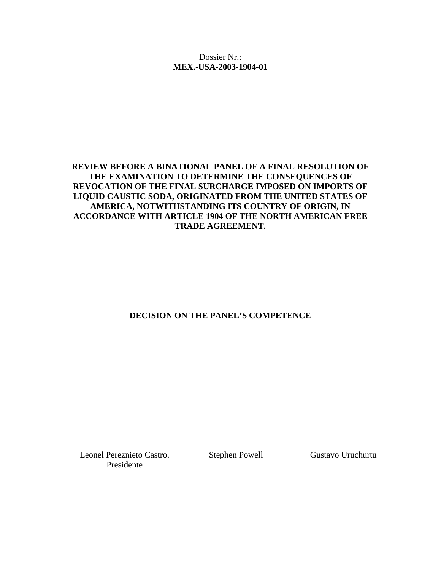Dossier Nr.: **MEX.-USA-2003-1904-01** 

# **REVIEW BEFORE A BINATIONAL PANEL OF A FINAL RESOLUTION OF THE EXAMINATION TO DETERMINE THE CONSEQUENCES OF REVOCATION OF THE FINAL SURCHARGE IMPOSED ON IMPORTS OF LIQUID CAUSTIC SODA, ORIGINATED FROM THE UNITED STATES OF AMERICA, NOTWITHSTANDING ITS COUNTRY OF ORIGIN, IN ACCORDANCE WITH ARTICLE 1904 OF THE NORTH AMERICAN FREE TRADE AGREEMENT.**

# **DECISION ON THE PANEL'S COMPETENCE**

Leonel Pereznieto Castro. Presidente

Stephen Powell Gustavo Uruchurtu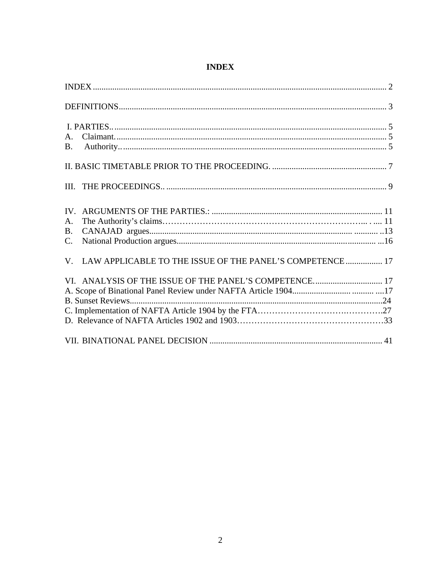<span id="page-1-0"></span>

| A.                                                           |
|--------------------------------------------------------------|
|                                                              |
|                                                              |
| IV.<br>А.<br><b>B.</b><br>$C_{\cdot}$                        |
| V. LAW APPLICABLE TO THE ISSUE OF THE PANEL'S COMPETENCE  17 |
| VI. ANALYSIS OF THE ISSUE OF THE PANEL'S COMPETENCE 17       |
|                                                              |

# **INDEX**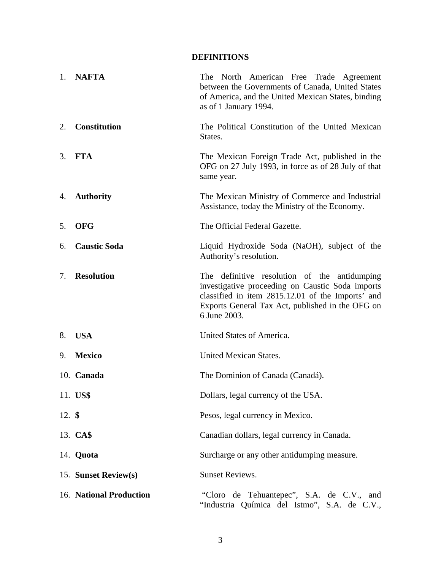# **DEFINITIONS**

<span id="page-2-0"></span>

|                | 1. NAFTA                | The North American Free Trade Agreement<br>between the Governments of Canada, United States<br>of America, and the United Mexican States, binding<br>as of 1 January 1994.                                                |
|----------------|-------------------------|---------------------------------------------------------------------------------------------------------------------------------------------------------------------------------------------------------------------------|
| 2.             | <b>Constitution</b>     | The Political Constitution of the United Mexican<br>States.                                                                                                                                                               |
| 3.             | <b>FTA</b>              | The Mexican Foreign Trade Act, published in the<br>OFG on 27 July 1993, in force as of 28 July of that<br>same year.                                                                                                      |
| 4.             | <b>Authority</b>        | The Mexican Ministry of Commerce and Industrial<br>Assistance, today the Ministry of the Economy.                                                                                                                         |
| 5.             | <b>OFG</b>              | The Official Federal Gazette.                                                                                                                                                                                             |
| 6.             | <b>Caustic Soda</b>     | Liquid Hydroxide Soda (NaOH), subject of the<br>Authority's resolution.                                                                                                                                                   |
| 7.             | <b>Resolution</b>       | The definitive resolution of the antidumping<br>investigative proceeding on Caustic Soda imports<br>classified in item 2815.12.01 of the Imports' and<br>Exports General Tax Act, published in the OFG on<br>6 June 2003. |
| 8.             | <b>USA</b>              | United States of America.                                                                                                                                                                                                 |
| 9.             | <b>Mexico</b>           | United Mexican States.                                                                                                                                                                                                    |
|                | 10. Canada              | The Dominion of Canada (Canadá).                                                                                                                                                                                          |
|                | 11. US\$                | Dollars, legal currency of the USA.                                                                                                                                                                                       |
| 12. $\sqrt{s}$ |                         | Pesos, legal currency in Mexico.                                                                                                                                                                                          |
|                | 13. CA\$                | Canadian dollars, legal currency in Canada.                                                                                                                                                                               |
|                | 14. Quota               | Surcharge or any other antidumping measure.                                                                                                                                                                               |
|                | 15. Sunset Review(s)    | <b>Sunset Reviews.</b>                                                                                                                                                                                                    |
|                | 16. National Production | "Cloro de Tehuantepec", S.A. de C.V., and<br>"Industria Química del Istmo", S.A. de C.V.,                                                                                                                                 |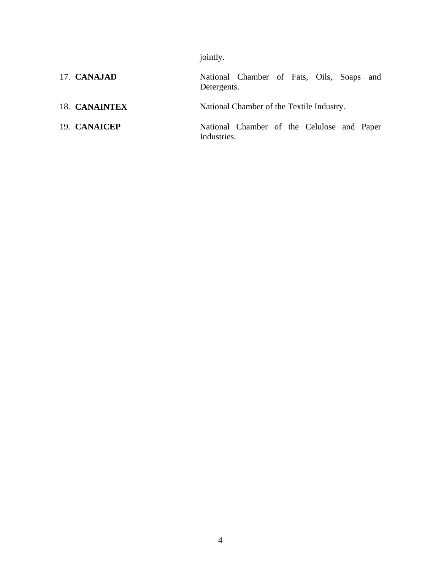jointly.

- 17. **CANAJAD** National Chamber of Fats, Oils, Soaps and Detergents.
- 18. **CANAINTEX** National Chamber of the Textile Industry.
- 19. **CANAICEP** National Chamber of the Celulose and Paper Industries.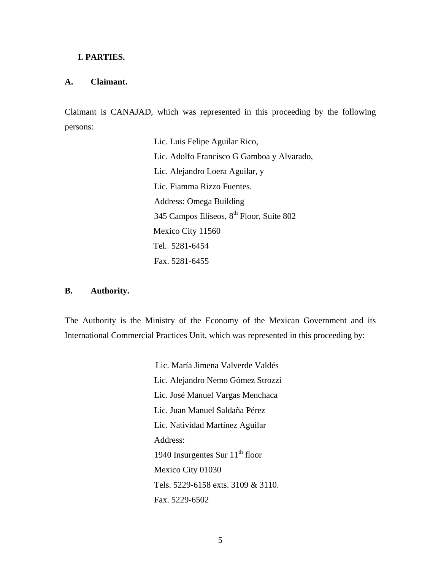#### <span id="page-4-0"></span>**I. PARTIES.**

#### **A. Claimant.**

Claimant is CANAJAD, which was represented in this proceeding by the following persons:

> Lic. Luis Felipe Aguilar Rico, Lic. Adolfo Francisco G Gamboa y Alvarado, Lic. Alejandro Loera Aguilar, y Lic. Fiamma Rizzo Fuentes. Address: Omega Building 345 Campos Elíseos, 8<sup>th</sup> Floor, Suite 802 Mexico City 11560 Tel. 5281-6454 Fax. 5281-6455

#### **B. Authority.**

The Authority is the Ministry of the Economy of the Mexican Government and its International Commercial Practices Unit, which was represented in this proceeding by:

> Lic. María Jimena Valverde Valdés Lic. Alejandro Nemo Gómez Strozzi Lic. José Manuel Vargas Menchaca Lic. Juan Manuel Saldaña Pérez Lic. Natividad Martínez Aguilar Address: 1940 Insurgentes Sur  $11<sup>th</sup>$  floor Mexico City 01030 Tels. 5229-6158 exts. 3109 & 3110. Fax. 5229-6502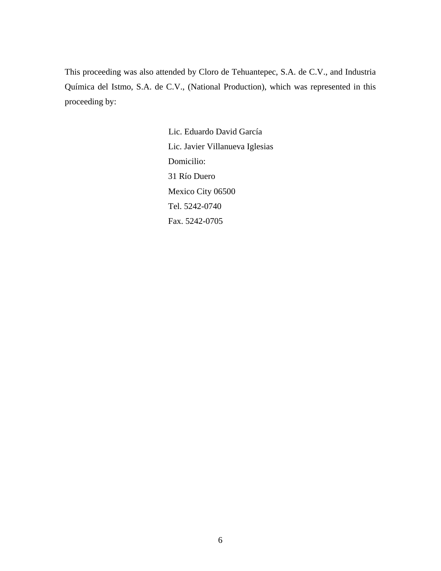This proceeding was also attended by Cloro de Tehuantepec, S.A. de C.V., and Industria Química del Istmo, S.A. de C.V., (National Production), which was represented in this proceeding by:

> Lic. Eduardo David García Lic. Javier Villanueva Iglesias Domicilio: 31 Río Duero Mexico City 06500 Tel. 5242-0740 Fax. 5242-0705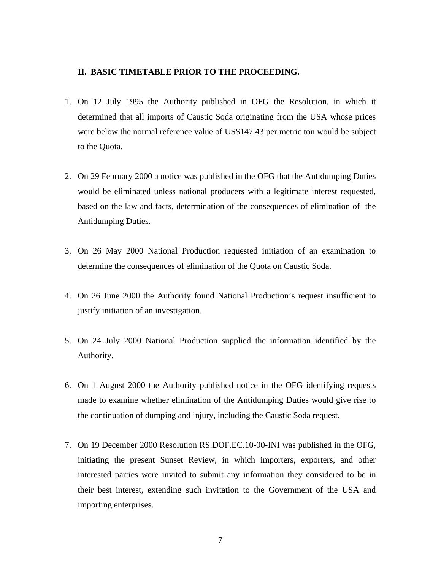## <span id="page-6-0"></span>**II. BASIC TIMETABLE PRIOR TO THE PROCEEDING.**

- 1. On 12 July 1995 the Authority published in OFG the Resolution, in which it determined that all imports of Caustic Soda originating from the USA whose prices were below the normal reference value of US\$147.43 per metric ton would be subject to the Quota.
- 2. On 29 February 2000 a notice was published in the OFG that the Antidumping Duties would be eliminated unless national producers with a legitimate interest requested, based on the law and facts, determination of the consequences of elimination of the Antidumping Duties.
- 3. On 26 May 2000 National Production requested initiation of an examination to determine the consequences of elimination of the Quota on Caustic Soda.
- 4. On 26 June 2000 the Authority found National Production's request insufficient to justify initiation of an investigation.
- 5. On 24 July 2000 National Production supplied the information identified by the Authority.
- 6. On 1 August 2000 the Authority published notice in the OFG identifying requests made to examine whether elimination of the Antidumping Duties would give rise to the continuation of dumping and injury, including the Caustic Soda request.
- 7. On 19 December 2000 Resolution RS.DOF.EC.10-00-INI was published in the OFG, initiating the present Sunset Review, in which importers, exporters, and other interested parties were invited to submit any information they considered to be in their best interest, extending such invitation to the Government of the USA and importing enterprises.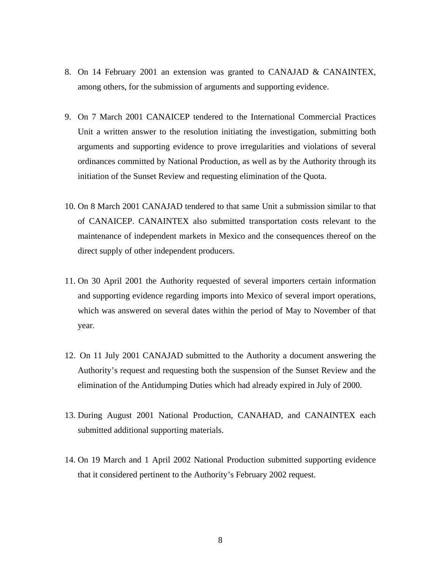- 8. On 14 February 2001 an extension was granted to CANAJAD & CANAINTEX, among others, for the submission of arguments and supporting evidence.
- 9. On 7 March 2001 CANAICEP tendered to the International Commercial Practices Unit a written answer to the resolution initiating the investigation, submitting both arguments and supporting evidence to prove irregularities and violations of several ordinances committed by National Production, as well as by the Authority through its initiation of the Sunset Review and requesting elimination of the Quota.
- 10. On 8 March 2001 CANAJAD tendered to that same Unit a submission similar to that of CANAICEP. CANAINTEX also submitted transportation costs relevant to the maintenance of independent markets in Mexico and the consequences thereof on the direct supply of other independent producers.
- 11. On 30 April 2001 the Authority requested of several importers certain information and supporting evidence regarding imports into Mexico of several import operations, which was answered on several dates within the period of May to November of that year.
- 12. On 11 July 2001 CANAJAD submitted to the Authority a document answering the Authority's request and requesting both the suspension of the Sunset Review and the elimination of the Antidumping Duties which had already expired in July of 2000.
- 13. During August 2001 National Production, CANAHAD, and CANAINTEX each submitted additional supporting materials.
- 14. On 19 March and 1 April 2002 National Production submitted supporting evidence that it considered pertinent to the Authority's February 2002 request.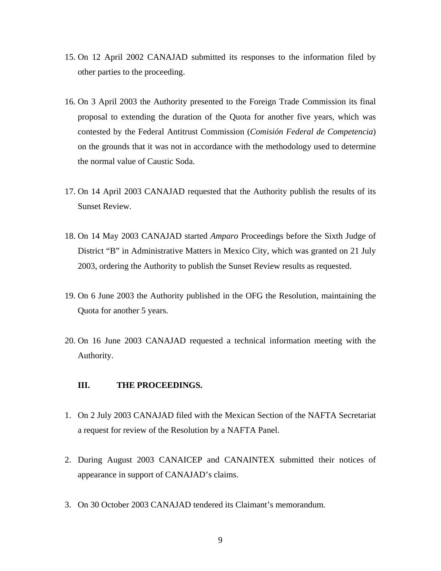- <span id="page-8-0"></span>15. On 12 April 2002 CANAJAD submitted its responses to the information filed by other parties to the proceeding.
- 16. On 3 April 2003 the Authority presented to the Foreign Trade Commission its final proposal to extending the duration of the Quota for another five years, which was contested by the Federal Antitrust Commission (*Comisión Federal de Competencia*) on the grounds that it was not in accordance with the methodology used to determine the normal value of Caustic Soda.
- 17. On 14 April 2003 CANAJAD requested that the Authority publish the results of its Sunset Review.
- 18. On 14 May 2003 CANAJAD started *Amparo* Proceedings before the Sixth Judge of District "B" in Administrative Matters in Mexico City, which was granted on 21 July 2003, ordering the Authority to publish the Sunset Review results as requested.
- 19. On 6 June 2003 the Authority published in the OFG the Resolution, maintaining the Quota for another 5 years.
- 20. On 16 June 2003 CANAJAD requested a technical information meeting with the Authority.

# **III. THE PROCEEDINGS.**

- 1. On 2 July 2003 CANAJAD filed with the Mexican Section of the NAFTA Secretariat a request for review of the Resolution by a NAFTA Panel.
- 2. During August 2003 CANAICEP and CANAINTEX submitted their notices of appearance in support of CANAJAD's claims.
- 3. On 30 October 2003 CANAJAD tendered its Claimant's memorandum.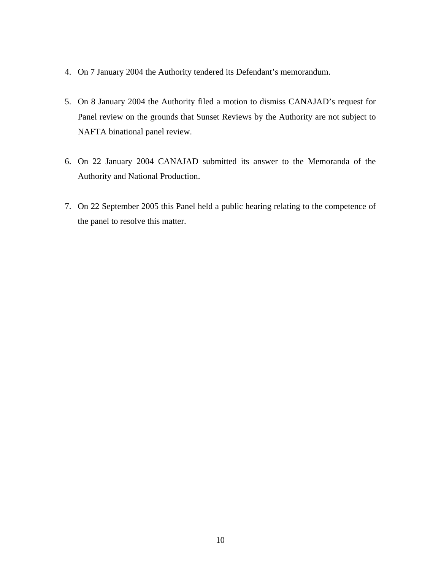- 4. On 7 January 2004 the Authority tendered its Defendant's memorandum.
- 5. On 8 January 2004 the Authority filed a motion to dismiss CANAJAD's request for Panel review on the grounds that Sunset Reviews by the Authority are not subject to NAFTA binational panel review.
- 6. On 22 January 2004 CANAJAD submitted its answer to the Memoranda of the Authority and National Production.
- 7. On 22 September 2005 this Panel held a public hearing relating to the competence of the panel to resolve this matter.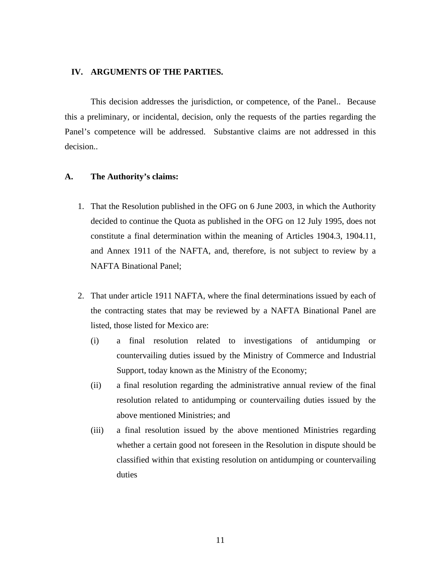# <span id="page-10-0"></span> **IV. ARGUMENTS OF THE PARTIES.**

 This decision addresses the jurisdiction, or competence, of the Panel.. Because this a preliminary, or incidental, decision, only the requests of the parties regarding the Panel's competence will be addressed. Substantive claims are not addressed in this decision..

### **A. The Authority's claims:**

- 1. That the Resolution published in the OFG on 6 June 2003, in which the Authority decided to continue the Quota as published in the OFG on 12 July 1995, does not constitute a final determination within the meaning of Articles 1904.3, 1904.11, and Annex 1911 of the NAFTA, and, therefore, is not subject to review by a NAFTA Binational Panel;
- 2. That under article 1911 NAFTA, where the final determinations issued by each of the contracting states that may be reviewed by a NAFTA Binational Panel are listed, those listed for Mexico are:
	- (i) a final resolution related to investigations of antidumping or countervailing duties issued by the Ministry of Commerce and Industrial Support, today known as the Ministry of the Economy;
	- (ii) a final resolution regarding the administrative annual review of the final resolution related to antidumping or countervailing duties issued by the above mentioned Ministries; and
	- (iii) a final resolution issued by the above mentioned Ministries regarding whether a certain good not foreseen in the Resolution in dispute should be classified within that existing resolution on antidumping or countervailing duties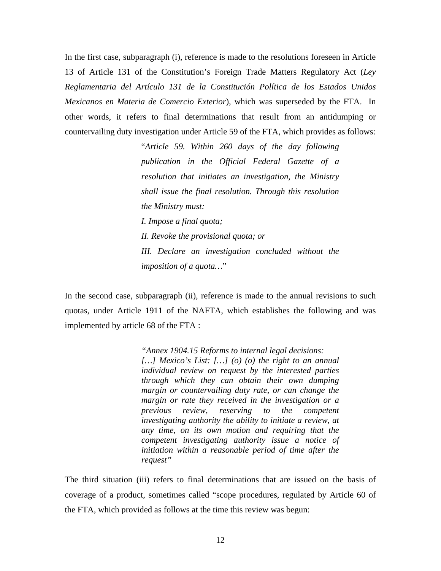In the first case, subparagraph (i), reference is made to the resolutions foreseen in Article 13 of Article 131 of the Constitution's Foreign Trade Matters Regulatory Act (*Ley Reglamentaria del Artículo 131 de la Constitución Política de los Estados Unidos Mexicanos en Materia de Comercio Exterior*), which was superseded by the FTA. In other words, it refers to final determinations that result from an antidumping or countervailing duty investigation under Article 59 of the FTA, which provides as follows:

> "*Article 59. Within 260 days of the day following publication in the Official Federal Gazette of a resolution that initiates an investigation, the Ministry shall issue the final resolution. Through this resolution the Ministry must: I. Impose a final quota; II. Revoke the provisional quota; or III. Declare an investigation concluded without the imposition of a quota…*"

In the second case, subparagraph (ii), reference is made to the annual revisions to such quotas, under Article 1911 of the NAFTA, which establishes the following and was implemented by article 68 of the FTA :

> *"Annex 1904.15 Reforms to internal legal decisions: […] Mexico's List: […] (o) (o) the right to an annual individual review on request by the interested parties through which they can obtain their own dumping margin or countervailing duty rate, or can change the margin or rate they received in the investigation or a previous review, reserving to the competent investigating authority the ability to initiate a review, at any time, on its own motion and requiring that the competent investigating authority issue a notice of initiation within a reasonable period of time after the request"*

The third situation (iii) refers to final determinations that are issued on the basis of coverage of a product, sometimes called "scope procedures, regulated by Article 60 of the FTA, which provided as follows at the time this review was begun: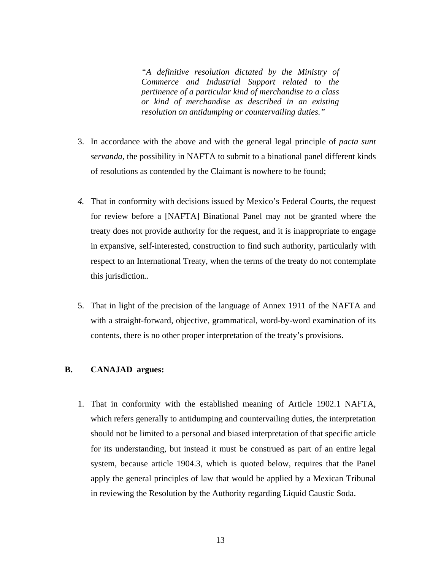*"A definitive resolution dictated by the Ministry of Commerce and Industrial Support related to the pertinence of a particular kind of merchandise to a class or kind of merchandise as described in an existing resolution on antidumping or countervailing duties."* 

- 3. In accordance with the above and with the general legal principle of *pacta sunt servanda*, the possibility in NAFTA to submit to a binational panel different kinds of resolutions as contended by the Claimant is nowhere to be found;
- *4.* That in conformity with decisions issued by Mexico's Federal Courts, the request for review before a [NAFTA] Binational Panel may not be granted where the treaty does not provide authority for the request, and it is inappropriate to engage in expansive, self-interested, construction to find such authority, particularly with respect to an International Treaty, when the terms of the treaty do not contemplate this jurisdiction.*.*
- 5. That in light of the precision of the language of Annex 1911 of the NAFTA and with a straight-forward, objective, grammatical, word-by-word examination of its contents, there is no other proper interpretation of the treaty's provisions.

# **B. CANAJAD argues:**

1. That in conformity with the established meaning of Article 1902.1 NAFTA, which refers generally to antidumping and countervailing duties, the interpretation should not be limited to a personal and biased interpretation of that specific article for its understanding, but instead it must be construed as part of an entire legal system, because article 1904.3, which is quoted below, requires that the Panel apply the general principles of law that would be applied by a Mexican Tribunal in reviewing the Resolution by the Authority regarding Liquid Caustic Soda.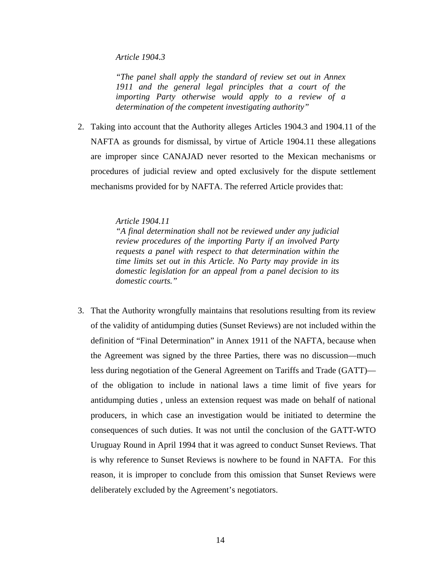*Article 1904.3* 

*"The panel shall apply the standard of review set out in Annex 1911 and the general legal principles that a court of the importing Party otherwise would apply to a review of a determination of the competent investigating authority"*

2. Taking into account that the Authority alleges Articles 1904.3 and 1904.11 of the NAFTA as grounds for dismissal, by virtue of Article 1904.11 these allegations are improper since CANAJAD never resorted to the Mexican mechanisms or procedures of judicial review and opted exclusively for the dispute settlement mechanisms provided for by NAFTA. The referred Article provides that:

*Article 1904.11* 

*"A final determination shall not be reviewed under any judicial review procedures of the importing Party if an involved Party requests a panel with respect to that determination within the time limits set out in this Article. No Party may provide in its domestic legislation for an appeal from a panel decision to its domestic courts."* 

3. That the Authority wrongfully maintains that resolutions resulting from its review of the validity of antidumping duties (Sunset Reviews) are not included within the definition of "Final Determination" in Annex 1911 of the NAFTA, because when the Agreement was signed by the three Parties, there was no discussion—much less during negotiation of the General Agreement on Tariffs and Trade (GATT) of the obligation to include in national laws a time limit of five years for antidumping duties , unless an extension request was made on behalf of national producers, in which case an investigation would be initiated to determine the consequences of such duties. It was not until the conclusion of the GATT-WTO Uruguay Round in April 1994 that it was agreed to conduct Sunset Reviews. That is why reference to Sunset Reviews is nowhere to be found in NAFTA. For this reason, it is improper to conclude from this omission that Sunset Reviews were deliberately excluded by the Agreement's negotiators.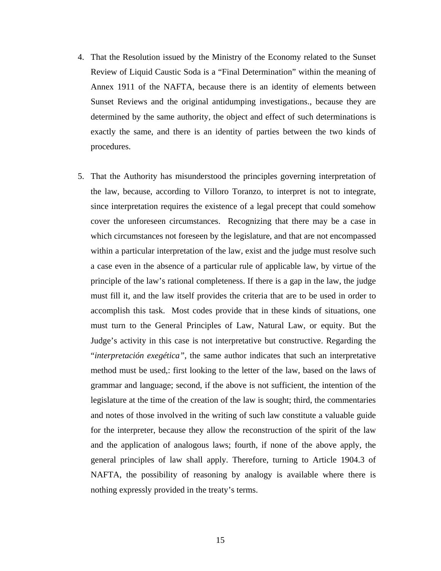- 4. That the Resolution issued by the Ministry of the Economy related to the Sunset Review of Liquid Caustic Soda is a "Final Determination" within the meaning of Annex 1911 of the NAFTA, because there is an identity of elements between Sunset Reviews and the original antidumping investigations., because they are determined by the same authority, the object and effect of such determinations is exactly the same, and there is an identity of parties between the two kinds of procedures.
- 5. That the Authority has misunderstood the principles governing interpretation of the law, because, according to Villoro Toranzo, to interpret is not to integrate, since interpretation requires the existence of a legal precept that could somehow cover the unforeseen circumstances. Recognizing that there may be a case in which circumstances not foreseen by the legislature, and that are not encompassed within a particular interpretation of the law, exist and the judge must resolve such a case even in the absence of a particular rule of applicable law, by virtue of the principle of the law's rational completeness. If there is a gap in the law, the judge must fill it, and the law itself provides the criteria that are to be used in order to accomplish this task. Most codes provide that in these kinds of situations, one must turn to the General Principles of Law, Natural Law, or equity. But the Judge's activity in this case is not interpretative but constructive. Regarding the "*interpretación exegética"*, the same author indicates that such an interpretative method must be used,: first looking to the letter of the law, based on the laws of grammar and language; second, if the above is not sufficient, the intention of the legislature at the time of the creation of the law is sought; third, the commentaries and notes of those involved in the writing of such law constitute a valuable guide for the interpreter, because they allow the reconstruction of the spirit of the law and the application of analogous laws; fourth, if none of the above apply, the general principles of law shall apply. Therefore, turning to Article 1904.3 of NAFTA, the possibility of reasoning by analogy is available where there is nothing expressly provided in the treaty's terms.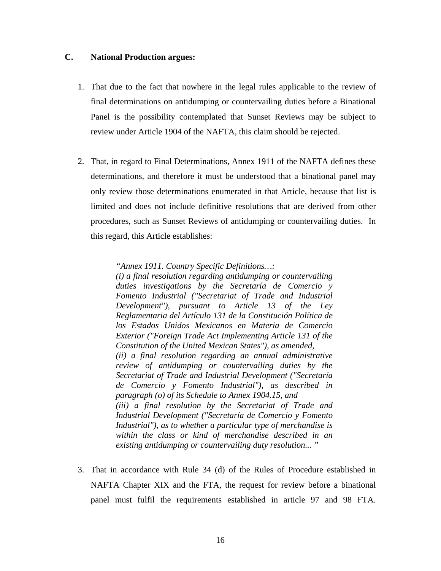# **C. National Production argues:**

- 1. That due to the fact that nowhere in the legal rules applicable to the review of final determinations on antidumping or countervailing duties before a Binational Panel is the possibility contemplated that Sunset Reviews may be subject to review under Article 1904 of the NAFTA, this claim should be rejected.
- 2. That, in regard to Final Determinations, Annex 1911 of the NAFTA defines these determinations, and therefore it must be understood that a binational panel may only review those determinations enumerated in that Article, because that list is limited and does not include definitive resolutions that are derived from other procedures, such as Sunset Reviews of antidumping or countervailing duties. In this regard, this Article establishes:

*"Annex 1911. Country Specific Definitions…:*

*(i) a final resolution regarding antidumping or countervailing duties investigations by the Secretaría de Comercio y Fomento Industrial ("Secretariat of Trade and Industrial Development"), pursuant to Article 13 of the Ley Reglamentaria del Artículo 131 de la Constitución Política de los Estados Unidos Mexicanos en Materia de Comercio Exterior ("Foreign Trade Act Implementing Article 131 of the Constitution of the United Mexican States"), as amended, (ii) a final resolution regarding an annual administrative review of antidumping or countervailing duties by the Secretariat of Trade and Industrial Development ("Secretaría de Comercio y Fomento Industrial"), as described in paragraph (o) of its Schedule to Annex 1904.15, and (iii) a final resolution by the Secretariat of Trade and Industrial Development ("Secretaría de Comercio y Fomento Industrial"), as to whether a particular type of merchandise is within the class or kind of merchandise described in an existing antidumping or countervailing duty resolution... "*

3. That in accordance with Rule 34 (d) of the Rules of Procedure established in NAFTA Chapter XIX and the FTA, the request for review before a binational panel must fulfil the requirements established in article 97 and 98 FTA.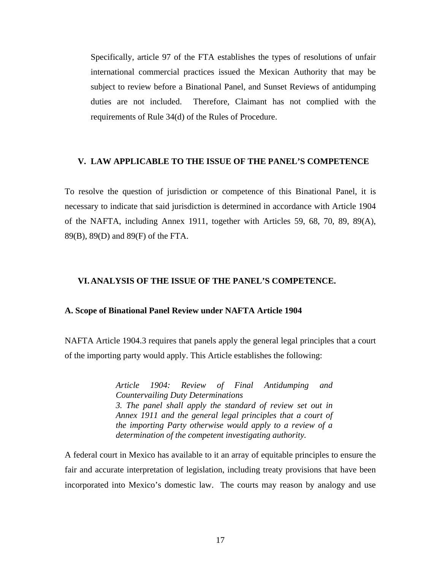<span id="page-16-0"></span>Specifically, article 97 of the FTA establishes the types of resolutions of unfair international commercial practices issued the Mexican Authority that may be subject to review before a Binational Panel, and Sunset Reviews of antidumping duties are not included. Therefore, Claimant has not complied with the requirements of Rule 34(d) of the Rules of Procedure.

#### **V. LAW APPLICABLE TO THE ISSUE OF THE PANEL'S COMPETENCE**

To resolve the question of jurisdiction or competence of this Binational Panel, it is necessary to indicate that said jurisdiction is determined in accordance with Article 1904 of the NAFTA, including Annex 1911, together with Articles 59, 68, 70, 89, 89(A), 89(B), 89(D) and 89(F) of the FTA.

#### **VI. ANALYSIS OF THE ISSUE OF THE PANEL'S COMPETENCE.**

#### **A. Scope of Binational Panel Review under NAFTA Article 1904**

NAFTA Article 1904.3 requires that panels apply the general legal principles that a court of the importing party would apply. This Article establishes the following:

> *Article 1904: Review of Final Antidumping and Countervailing Duty Determinations 3. The panel shall apply the standard of review set out in Annex 1911 and the general legal principles that a court of the importing Party otherwise would apply to a review of a determination of the competent investigating authority.*

A federal court in Mexico has available to it an array of equitable principles to ensure the fair and accurate interpretation of legislation, including treaty provisions that have been incorporated into Mexico's domestic law. The courts may reason by analogy and use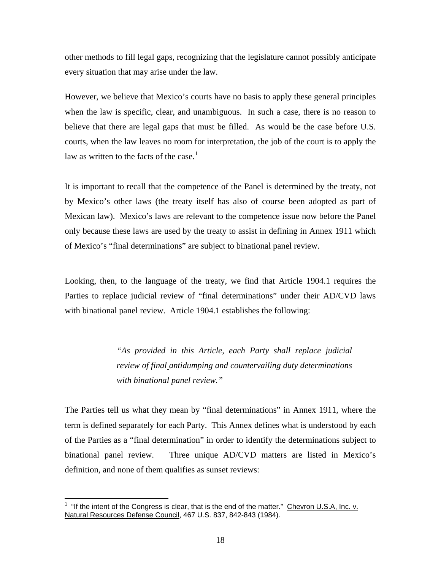other methods to fill legal gaps, recognizing that the legislature cannot possibly anticipate every situation that may arise under the law.

However, we believe that Mexico's courts have no basis to apply these general principles when the law is specific, clear, and unambiguous. In such a case, there is no reason to believe that there are legal gaps that must be filled. As would be the case before U.S. courts, when the law leaves no room for interpretation, the job of the court is to apply the law as written to the facts of the case.<sup>[1](#page-17-0)</sup>

It is important to recall that the competence of the Panel is determined by the treaty, not by Mexico's other laws (the treaty itself has also of course been adopted as part of Mexican law). Mexico's laws are relevant to the competence issue now before the Panel only because these laws are used by the treaty to assist in defining in Annex 1911 which of Mexico's "final determinations" are subject to binational panel review.

Looking, then, to the language of the treaty, we find that Article 1904.1 requires the Parties to replace judicial review of "final determinations" under their AD/CVD laws with binational panel review. Article 1904.1 establishes the following:

> *"As provided in this Article, each Party shall replace judicial review of final antidumping and countervailing duty determinations with binational panel review."*

The Parties tell us what they mean by "final determinations" in Annex 1911, where the term is defined separately for each Party. This Annex defines what is understood by each of the Parties as a "final determination" in order to identify the determinations subject to binational panel review. Three unique AD/CVD matters are listed in Mexico's definition, and none of them qualifies as sunset reviews:

<span id="page-17-0"></span>The intent of the Congress is clear, that is the end of the matter." Chevron U.S.A, Inc. v. Natural Resources Defense Council, 467 U.S. 837, 842-843 (1984).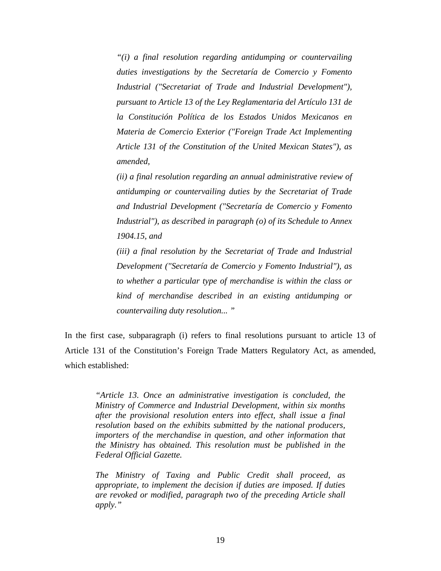*"(i) a final resolution regarding antidumping or countervailing duties investigations by the Secretaría de Comercio y Fomento Industrial ("Secretariat of Trade and Industrial Development"), pursuant to Article 13 of the Ley Reglamentaria del Artículo 131 de la Constitución Política de los Estados Unidos Mexicanos en Materia de Comercio Exterior ("Foreign Trade Act Implementing Article 131 of the Constitution of the United Mexican States"), as amended,* 

*(ii) a final resolution regarding an annual administrative review of antidumping or countervailing duties by the Secretariat of Trade and Industrial Development ("Secretaría de Comercio y Fomento Industrial"), as described in paragraph (o) of its Schedule to Annex 1904.15, and* 

*(iii) a final resolution by the Secretariat of Trade and Industrial Development ("Secretaría de Comercio y Fomento Industrial"), as to whether a particular type of merchandise is within the class or kind of merchandise described in an existing antidumping or countervailing duty resolution... "* 

In the first case, subparagraph (i) refers to final resolutions pursuant to article 13 of Article 131 of the Constitution's Foreign Trade Matters Regulatory Act, as amended, which established:

*"Article 13. Once an administrative investigation is concluded, the Ministry of Commerce and Industrial Development, within six months after the provisional resolution enters into effect, shall issue a final resolution based on the exhibits submitted by the national producers, importers of the merchandise in question, and other information that the Ministry has obtained. This resolution must be published in the Federal Official Gazette.* 

*The Ministry of Taxing and Public Credit shall proceed, as appropriate, to implement the decision if duties are imposed. If duties are revoked or modified, paragraph two of the preceding Article shall apply."*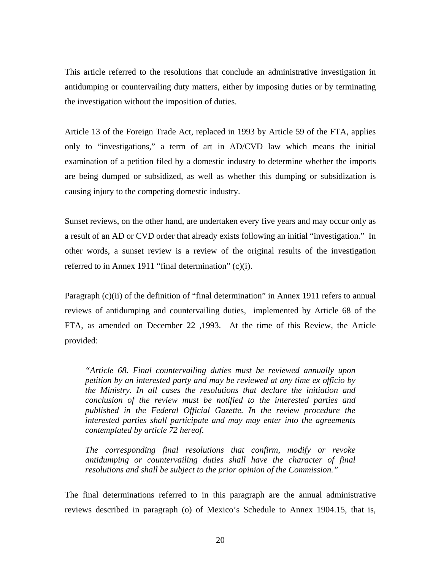This article referred to the resolutions that conclude an administrative investigation in antidumping or countervailing duty matters, either by imposing duties or by terminating the investigation without the imposition of duties.

Article 13 of the Foreign Trade Act, replaced in 1993 by Article 59 of the FTA, applies only to "investigations," a term of art in AD/CVD law which means the initial examination of a petition filed by a domestic industry to determine whether the imports are being dumped or subsidized, as well as whether this dumping or subsidization is causing injury to the competing domestic industry.

Sunset reviews, on the other hand, are undertaken every five years and may occur only as a result of an AD or CVD order that already exists following an initial "investigation." In other words, a sunset review is a review of the original results of the investigation referred to in Annex 1911 "final determination" (c)(i).

Paragraph (c)(ii) of the definition of "final determination" in Annex 1911 refers to annual reviews of antidumping and countervailing duties, implemented by Article 68 of the FTA, as amended on December 22 ,1993. At the time of this Review, the Article provided:

*"Article 68. Final countervailing duties must be reviewed annually upon petition by an interested party and may be reviewed at any time ex officio by the Ministry. In all cases the resolutions that declare the initiation and conclusion of the review must be notified to the interested parties and published in the Federal Official Gazette. In the review procedure the interested parties shall participate and may may enter into the agreements contemplated by article 72 hereof.* 

*The corresponding final resolutions that confirm, modify or revoke antidumping or countervailing duties shall have the character of final resolutions and shall be subject to the prior opinion of the Commission."*

The final determinations referred to in this paragraph are the annual administrative reviews described in paragraph (o) of Mexico's Schedule to Annex 1904.15, that is,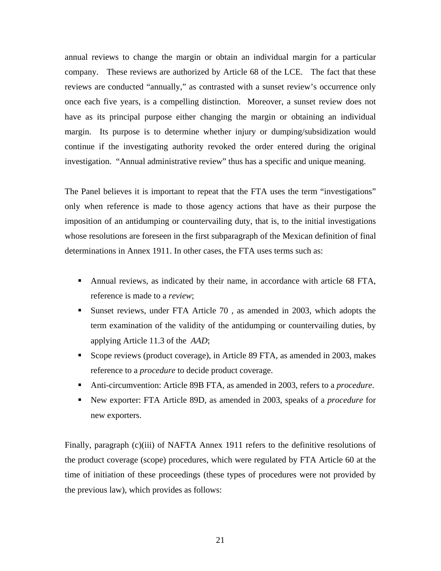annual reviews to change the margin or obtain an individual margin for a particular company. These reviews are authorized by Article 68 of the LCE. The fact that these reviews are conducted "annually," as contrasted with a sunset review's occurrence only once each five years, is a compelling distinction. Moreover, a sunset review does not have as its principal purpose either changing the margin or obtaining an individual margin. Its purpose is to determine whether injury or dumping/subsidization would continue if the investigating authority revoked the order entered during the original investigation. "Annual administrative review" thus has a specific and unique meaning.

The Panel believes it is important to repeat that the FTA uses the term "investigations" only when reference is made to those agency actions that have as their purpose the imposition of an antidumping or countervailing duty, that is, to the initial investigations whose resolutions are foreseen in the first subparagraph of the Mexican definition of final determinations in Annex 1911. In other cases, the FTA uses terms such as:

- Annual reviews, as indicated by their name, in accordance with article 68 FTA, reference is made to a *review*;
- Sunset reviews, under FTA Article 70 , as amended in 2003, which adopts the term examination of the validity of the antidumping or countervailing duties, by applying Article 11.3 of the *AAD*;
- Scope reviews (product coverage), in Article 89 FTA, as amended in 2003, makes reference to a *procedure* to decide product coverage.
- Anti-circumvention: Article 89B FTA, as amended in 2003, refers to a *procedure*.
- New exporter: FTA Article 89D, as amended in 2003, speaks of a *procedure* for new exporters.

Finally, paragraph (c)(iii) of NAFTA Annex 1911 refers to the definitive resolutions of the product coverage (scope) procedures, which were regulated by FTA Article 60 at the time of initiation of these proceedings (these types of procedures were not provided by the previous law), which provides as follows: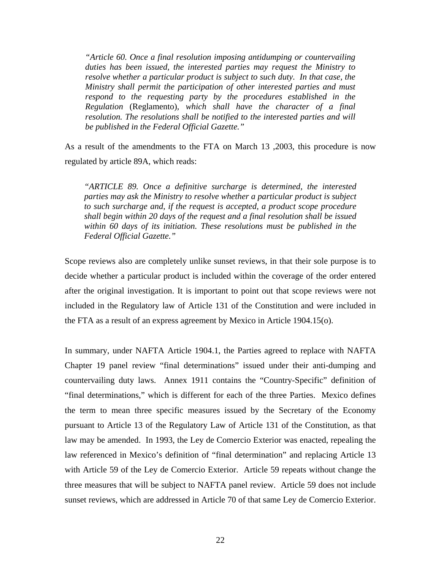*"Article 60. Once a final resolution imposing antidumping or countervailing duties has been issued, the interested parties may request the Ministry to resolve whether a particular product is subject to such duty. In that case, the Ministry shall permit the participation of other interested parties and must respond to the requesting party by the procedures established in the Regulation* (Reglamento)*, which shall have the character of a final resolution. The resolutions shall be notified to the interested parties and will be published in the Federal Official Gazette."* 

As a result of the amendments to the FTA on March 13 ,2003, this procedure is now regulated by article 89A, which reads:

*"ARTICLE 89. Once a definitive surcharge is determined, the interested parties may ask the Ministry to resolve whether a particular product is subject to such surcharge and, if the request is accepted, a product scope procedure shall begin within 20 days of the request and a final resolution shall be issued within 60 days of its initiation. These resolutions must be published in the Federal Official Gazette."* 

Scope reviews also are completely unlike sunset reviews, in that their sole purpose is to decide whether a particular product is included within the coverage of the order entered after the original investigation. It is important to point out that scope reviews were not included in the Regulatory law of Article 131 of the Constitution and were included in the FTA as a result of an express agreement by Mexico in Article 1904.15(o).

In summary, under NAFTA Article 1904.1, the Parties agreed to replace with NAFTA Chapter 19 panel review "final determinations" issued under their anti-dumping and countervailing duty laws. Annex 1911 contains the "Country-Specific" definition of "final determinations," which is different for each of the three Parties. Mexico defines the term to mean three specific measures issued by the Secretary of the Economy pursuant to Article 13 of the Regulatory Law of Article 131 of the Constitution, as that law may be amended. In 1993, the Ley de Comercio Exterior was enacted, repealing the law referenced in Mexico's definition of "final determination" and replacing Article 13 with Article 59 of the Ley de Comercio Exterior. Article 59 repeats without change the three measures that will be subject to NAFTA panel review. Article 59 does not include sunset reviews, which are addressed in Article 70 of that same Ley de Comercio Exterior.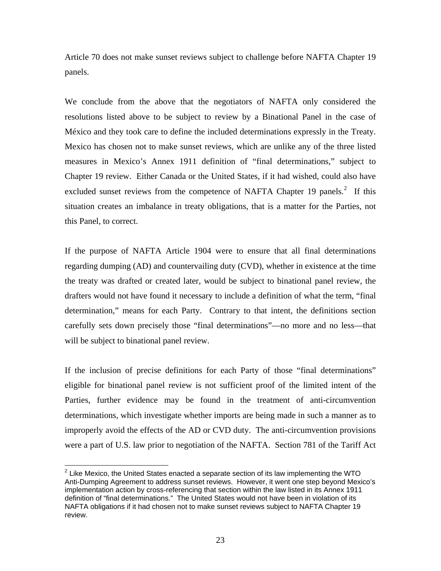Article 70 does not make sunset reviews subject to challenge before NAFTA Chapter 19 panels.

We conclude from the above that the negotiators of NAFTA only considered the resolutions listed above to be subject to review by a Binational Panel in the case of México and they took care to define the included determinations expressly in the Treaty. Mexico has chosen not to make sunset reviews, which are unlike any of the three listed measures in Mexico's Annex 1911 definition of "final determinations," subject to Chapter 19 review. Either Canada or the United States, if it had wished, could also have excluded sunset reviews from the competence of NAFTA Chapter 19 panels.<sup>[2](#page-22-0)</sup> If this situation creates an imbalance in treaty obligations, that is a matter for the Parties, not this Panel, to correct.

If the purpose of NAFTA Article 1904 were to ensure that all final determinations regarding dumping (AD) and countervailing duty (CVD), whether in existence at the time the treaty was drafted or created later, would be subject to binational panel review, the drafters would not have found it necessary to include a definition of what the term, "final determination," means for each Party. Contrary to that intent, the definitions section carefully sets down precisely those "final determinations"—no more and no less—that will be subject to binational panel review.

If the inclusion of precise definitions for each Party of those "final determinations" eligible for binational panel review is not sufficient proof of the limited intent of the Parties, further evidence may be found in the treatment of anti-circumvention determinations, which investigate whether imports are being made in such a manner as to improperly avoid the effects of the AD or CVD duty. The anti-circumvention provisions were a part of U.S. law prior to negotiation of the NAFTA. Section 781 of the Tariff Act

 $\overline{a}$ 

<span id="page-22-0"></span> $2$  Like Mexico, the United States enacted a separate section of its law implementing the WTO Anti-Dumping Agreement to address sunset reviews. However, it went one step beyond Mexico's implementation action by cross-referencing that section within the law listed in its Annex 1911 definition of "final determinations." The United States would not have been in violation of its NAFTA obligations if it had chosen not to make sunset reviews subject to NAFTA Chapter 19 review.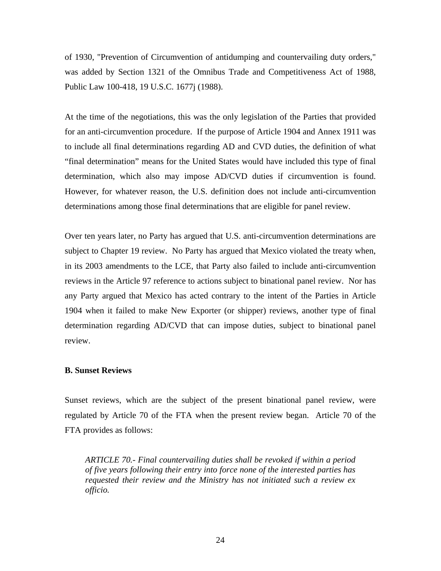of 1930, "Prevention of Circumvention of antidumping and countervailing duty orders," was added by Section 1321 of the Omnibus Trade and Competitiveness Act of 1988, Public Law 100-418, 19 U.S.C. 1677j (1988).

At the time of the negotiations, this was the only legislation of the Parties that provided for an anti-circumvention procedure. If the purpose of Article 1904 and Annex 1911 was to include all final determinations regarding AD and CVD duties, the definition of what "final determination" means for the United States would have included this type of final determination, which also may impose AD/CVD duties if circumvention is found. However, for whatever reason, the U.S. definition does not include anti-circumvention determinations among those final determinations that are eligible for panel review.

Over ten years later, no Party has argued that U.S. anti-circumvention determinations are subject to Chapter 19 review. No Party has argued that Mexico violated the treaty when, in its 2003 amendments to the LCE, that Party also failed to include anti-circumvention reviews in the Article 97 reference to actions subject to binational panel review. Nor has any Party argued that Mexico has acted contrary to the intent of the Parties in Article 1904 when it failed to make New Exporter (or shipper) reviews, another type of final determination regarding AD/CVD that can impose duties, subject to binational panel review.

# **B. Sunset Reviews**

Sunset reviews, which are the subject of the present binational panel review, were regulated by Article 70 of the FTA when the present review began. Article 70 of the FTA provides as follows:

*ARTICLE 70.- Final countervailing duties shall be revoked if within a period of five years following their entry into force none of the interested parties has requested their review and the Ministry has not initiated such a review ex officio.*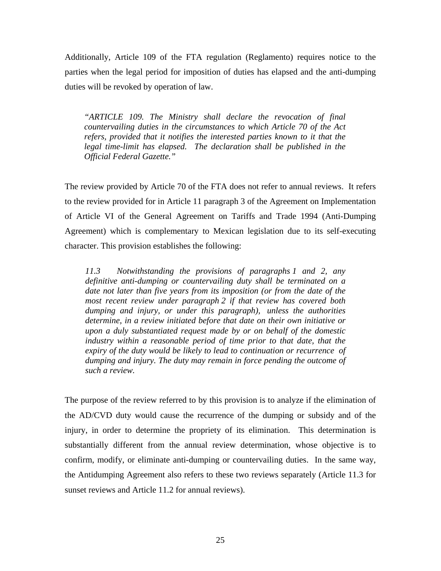Additionally, Article 109 of the FTA regulation (Reglamento) requires notice to the parties when the legal period for imposition of duties has elapsed and the anti-dumping duties will be revoked by operation of law.

 *"ARTICLE 109. The Ministry shall declare the revocation of final countervailing duties in the circumstances to which Article 70 of the Act refers, provided that it notifies the interested parties known to it that the legal time-limit has elapsed. The declaration shall be published in the Official Federal Gazette."* 

The review provided by Article 70 of the FTA does not refer to annual reviews. It refers to the review provided for in Article 11 paragraph 3 of the Agreement on Implementation of Article VI of the General Agreement on Tariffs and Trade 1994 (Anti-Dumping Agreement) which is complementary to Mexican legislation due to its self-executing character. This provision establishes the following:

*11.3 Notwithstanding the provisions of paragraphs 1 and 2, any definitive anti-dumping or countervailing duty shall be terminated on a*  date not later than five years from its imposition (or from the date of the *most recent review under paragraph 2 if that review has covered both dumping and injury, or under this paragraph), unless the authorities determine, in a review initiated before that date on their own initiative or upon a duly substantiated request made by or on behalf of the domestic industry within a reasonable period of time prior to that date, that the expiry of the duty would be likely to lead to continuation or recurrence of dumping and injury. The duty may remain in force pending the outcome of such a review.* 

The purpose of the review referred to by this provision is to analyze if the elimination of the AD/CVD duty would cause the recurrence of the dumping or subsidy and of the injury, in order to determine the propriety of its elimination. This determination is substantially different from the annual review determination, whose objective is to confirm, modify, or eliminate anti-dumping or countervailing duties. In the same way, the Antidumping Agreement also refers to these two reviews separately (Article 11.3 for sunset reviews and Article 11.2 for annual reviews).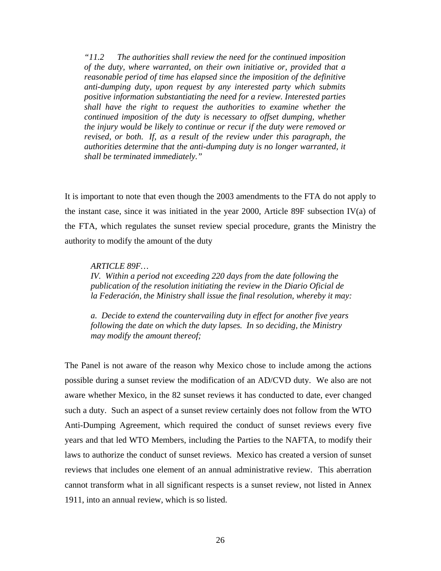*"11.2 The authorities shall review the need for the continued imposition of the duty, where warranted, on their own initiative or, provided that a reasonable period of time has elapsed since the imposition of the definitive anti-dumping duty, upon request by any interested party which submits positive information substantiating the need for a review. Interested parties shall have the right to request the authorities to examine whether the continued imposition of the duty is necessary to offset dumping, whether the injury would be likely to continue or recur if the duty were removed or revised, or both. If, as a result of the review under this paragraph, the authorities determine that the anti-dumping duty is no longer warranted, it shall be terminated immediately."* 

It is important to note that even though the 2003 amendments to the FTA do not apply to the instant case, since it was initiated in the year 2000, Article 89F subsection IV(a) of the FTA, which regulates the sunset review special procedure, grants the Ministry the authority to modify the amount of the duty

*ARTICLE 89F…* 

*IV. Within a period not exceeding 220 days from the date following the publication of the resolution initiating the review in the Diario Oficial de la Federación, the Ministry shall issue the final resolution, whereby it may:* 

*a. Decide to extend the countervailing duty in effect for another five years following the date on which the duty lapses. In so deciding, the Ministry may modify the amount thereof;* 

The Panel is not aware of the reason why Mexico chose to include among the actions possible during a sunset review the modification of an AD/CVD duty. We also are not aware whether Mexico, in the 82 sunset reviews it has conducted to date, ever changed such a duty. Such an aspect of a sunset review certainly does not follow from the WTO Anti-Dumping Agreement, which required the conduct of sunset reviews every five years and that led WTO Members, including the Parties to the NAFTA, to modify their laws to authorize the conduct of sunset reviews. Mexico has created a version of sunset reviews that includes one element of an annual administrative review. This aberration cannot transform what in all significant respects is a sunset review, not listed in Annex 1911, into an annual review, which is so listed.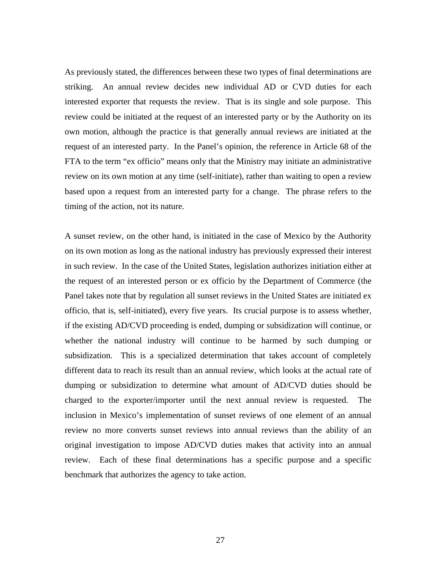As previously stated, the differences between these two types of final determinations are striking. An annual review decides new individual AD or CVD duties for each interested exporter that requests the review. That is its single and sole purpose. This review could be initiated at the request of an interested party or by the Authority on its own motion, although the practice is that generally annual reviews are initiated at the request of an interested party. In the Panel's opinion, the reference in Article 68 of the FTA to the term "ex officio" means only that the Ministry may initiate an administrative review on its own motion at any time (self-initiate), rather than waiting to open a review based upon a request from an interested party for a change. The phrase refers to the timing of the action, not its nature.

A sunset review, on the other hand, is initiated in the case of Mexico by the Authority on its own motion as long as the national industry has previously expressed their interest in such review. In the case of the United States, legislation authorizes initiation either at the request of an interested person or ex officio by the Department of Commerce (the Panel takes note that by regulation all sunset reviews in the United States are initiated ex officio, that is, self-initiated), every five years. Its crucial purpose is to assess whether, if the existing AD/CVD proceeding is ended, dumping or subsidization will continue, or whether the national industry will continue to be harmed by such dumping or subsidization. This is a specialized determination that takes account of completely different data to reach its result than an annual review, which looks at the actual rate of dumping or subsidization to determine what amount of AD/CVD duties should be charged to the exporter/importer until the next annual review is requested. The inclusion in Mexico's implementation of sunset reviews of one element of an annual review no more converts sunset reviews into annual reviews than the ability of an original investigation to impose AD/CVD duties makes that activity into an annual review. Each of these final determinations has a specific purpose and a specific benchmark that authorizes the agency to take action.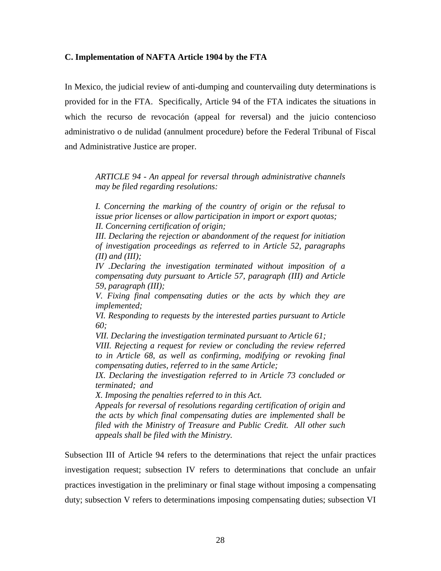## **C. Implementation of NAFTA Article 1904 by the FTA**

In Mexico, the judicial review of anti-dumping and countervailing duty determinations is provided for in the FTA. Specifically, Article 94 of the FTA indicates the situations in which the recurso de revocación (appeal for reversal) and the juicio contencioso administrativo o de nulidad (annulment procedure) before the Federal Tribunal of Fiscal and Administrative Justice are proper.

*ARTICLE 94 - An appeal for reversal through administrative channels may be filed regarding resolutions:* 

*I. Concerning the marking of the country of origin or the refusal to issue prior licenses or allow participation in import or export quotas; II. Concerning certification of origin;* 

*III. Declaring the rejection or abandonment of the request for initiation of investigation proceedings as referred to in Article 52, paragraphs (II) and (III);* 

*IV .Declaring the investigation terminated without imposition of a compensating duty pursuant to Article 57, paragraph (III) and Article 59, paragraph (III);* 

*V. Fixing final compensating duties or the acts by which they are implemented;* 

*VI. Responding to requests by the interested parties pursuant to Article 60;* 

*VII. Declaring the investigation terminated pursuant to Article 61;* 

*VIII. Rejecting a request for review or concluding the review referred to in Article 68, as well as confirming, modifying or revoking final compensating duties, referred to in the same Article;* 

*IX. Declaring the investigation referred to in Article 73 concluded or terminated; and* 

*X. Imposing the penalties referred to in this Act.* 

*Appeals for reversal of resolutions regarding certification of origin and the acts by which final compensating duties are implemented shall be filed with the Ministry of Treasure and Public Credit. All other such appeals shall be filed with the Ministry.* 

Subsection III of Article 94 refers to the determinations that reject the unfair practices investigation request; subsection IV refers to determinations that conclude an unfair practices investigation in the preliminary or final stage without imposing a compensating duty; subsection V refers to determinations imposing compensating duties; subsection VI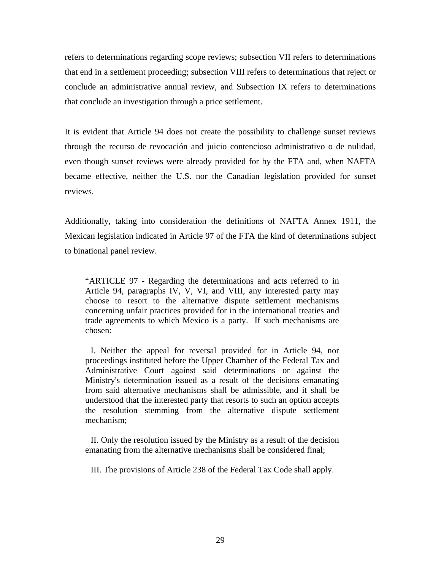refers to determinations regarding scope reviews; subsection VII refers to determinations that end in a settlement proceeding; subsection VIII refers to determinations that reject or conclude an administrative annual review, and Subsection IX refers to determinations that conclude an investigation through a price settlement.

It is evident that Article 94 does not create the possibility to challenge sunset reviews through the recurso de revocación and juicio contencioso administrativo o de nulidad, even though sunset reviews were already provided for by the FTA and, when NAFTA became effective, neither the U.S. nor the Canadian legislation provided for sunset reviews.

Additionally, taking into consideration the definitions of NAFTA Annex 1911, the Mexican legislation indicated in Article 97 of the FTA the kind of determinations subject to binational panel review.

"ARTICLE 97 - Regarding the determinations and acts referred to in Article 94, paragraphs IV, V, VI, and VIII, any interested party may choose to resort to the alternative dispute settlement mechanisms concerning unfair practices provided for in the international treaties and trade agreements to which Mexico is a party. If such mechanisms are chosen:

 I. Neither the appeal for reversal provided for in Article 94, nor proceedings instituted before the Upper Chamber of the Federal Tax and Administrative Court against said determinations or against the Ministry's determination issued as a result of the decisions emanating from said alternative mechanisms shall be admissible, and it shall be understood that the interested party that resorts to such an option accepts the resolution stemming from the alternative dispute settlement mechanism;

 II. Only the resolution issued by the Ministry as a result of the decision emanating from the alternative mechanisms shall be considered final;

III. The provisions of Article 238 of the Federal Tax Code shall apply.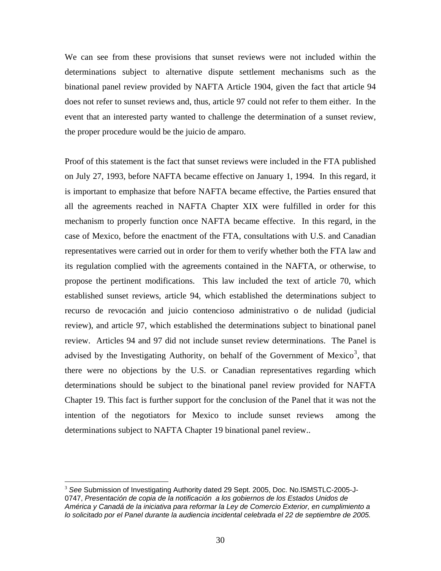We can see from these provisions that sunset reviews were not included within the determinations subject to alternative dispute settlement mechanisms such as the binational panel review provided by NAFTA Article 1904, given the fact that article 94 does not refer to sunset reviews and, thus, article 97 could not refer to them either. In the event that an interested party wanted to challenge the determination of a sunset review, the proper procedure would be the juicio de amparo.

Proof of this statement is the fact that sunset reviews were included in the FTA published on July 27, 1993, before NAFTA became effective on January 1, 1994. In this regard, it is important to emphasize that before NAFTA became effective, the Parties ensured that all the agreements reached in NAFTA Chapter XIX were fulfilled in order for this mechanism to properly function once NAFTA became effective. In this regard, in the case of Mexico, before the enactment of the FTA, consultations with U.S. and Canadian representatives were carried out in order for them to verify whether both the FTA law and its regulation complied with the agreements contained in the NAFTA, or otherwise, to propose the pertinent modifications. This law included the text of article 70, which established sunset reviews, article 94, which established the determinations subject to recurso de revocación and juicio contencioso administrativo o de nulidad (judicial review), and article 97, which established the determinations subject to binational panel review. Articles 94 and 97 did not include sunset review determinations. The Panel is advised by the Investigating Authority, on behalf of the Government of Mexico<sup>[3](#page-29-0)</sup>, that there were no objections by the U.S. or Canadian representatives regarding which determinations should be subject to the binational panel review provided for NAFTA Chapter 19. This fact is further support for the conclusion of the Panel that it was not the intention of the negotiators for Mexico to include sunset reviews among the determinations subject to NAFTA Chapter 19 binational panel review..

<u>.</u>

<span id="page-29-0"></span><sup>3</sup> *See* Submission of Investigating Authority dated 29 Sept. 2005, Doc. No.lSMSTLC-2005-J-0747, *Presentación de copia de la notificación a los gobiernos de los Estados Unidos de América y Canadá de la iniciativa para reformar la Ley de Comercio Exterior, en cumplimiento a lo solicitado por el Panel durante la audiencia incidental celebrada el 22 de septiembre de 2005.*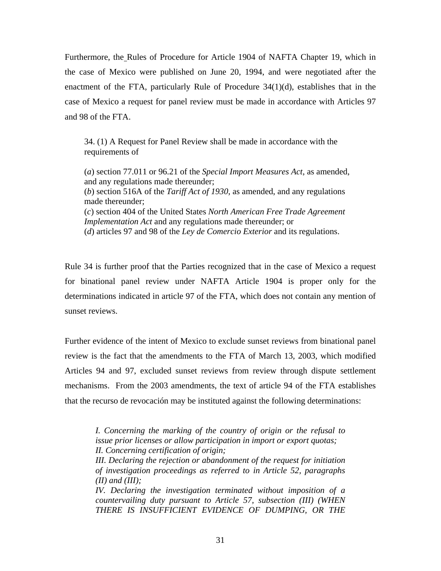Furthermore, the Rules of Procedure for Article 1904 of NAFTA Chapter 19, which in the case of Mexico were published on June 20, 1994, and were negotiated after the enactment of the FTA, particularly Rule of Procedure 34(1)(d), establishes that in the case of Mexico a request for panel review must be made in accordance with Articles 97 and 98 of the FTA.

34. (1) A Request for Panel Review shall be made in accordance with the requirements of

(*a*) section 77.011 or 96.21 of the *Special Import Measures Act*, as amended, and any regulations made thereunder; (*b*) section 516A of the *Tariff Act of 1930*, as amended, and any regulations made thereunder; (*c*) section 404 of the United States *North American Free Trade Agreement Implementation Act* and any regulations made thereunder; or (*d*) articles 97 and 98 of the *Ley de Comercio Exterior* and its regulations.

Rule 34 is further proof that the Parties recognized that in the case of Mexico a request for binational panel review under NAFTA Article 1904 is proper only for the determinations indicated in article 97 of the FTA, which does not contain any mention of sunset reviews.

Further evidence of the intent of Mexico to exclude sunset reviews from binational panel review is the fact that the amendments to the FTA of March 13, 2003, which modified Articles 94 and 97, excluded sunset reviews from review through dispute settlement mechanisms. From the 2003 amendments, the text of article 94 of the FTA establishes that the recurso de revocación may be instituted against the following determinations:

*I. Concerning the marking of the country of origin or the refusal to issue prior licenses or allow participation in import or export quotas; II. Concerning certification of origin;* 

*III. Declaring the rejection or abandonment of the request for initiation of investigation proceedings as referred to in Article 52, paragraphs (II) and (III);* 

*IV. Declaring the investigation terminated without imposition of a countervailing duty pursuant to Article 57, subsection (III) (WHEN THERE IS INSUFFICIENT EVIDENCE OF DUMPING, OR THE*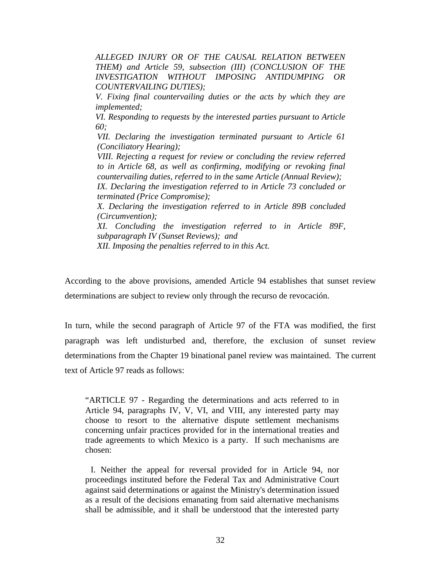*ALLEGED INJURY OR OF THE CAUSAL RELATION BETWEEN THEM) and Article 59, subsection (III) (CONCLUSION OF THE INVESTIGATION WITHOUT IMPOSING ANTIDUMPING OR COUNTERVAILING DUTIES);* 

*V. Fixing final countervailing duties or the acts by which they are implemented;* 

*VI. Responding to requests by the interested parties pursuant to Article 60;* 

*VII. Declaring the investigation terminated pursuant to Article 61 (Conciliatory Hearing);* 

*VIII. Rejecting a request for review or concluding the review referred to in Article 68, as well as confirming, modifying or revoking final countervailing duties, referred to in the same Article (Annual Review);* 

*IX. Declaring the investigation referred to in Article 73 concluded or terminated (Price Compromise);* 

*X. Declaring the investigation referred to in Article 89B concluded (Circumvention);* 

*XI. Concluding the investigation referred to in Article 89F, subparagraph IV (Sunset Reviews); and* 

*XII. Imposing the penalties referred to in this Act.* 

According to the above provisions, amended Article 94 establishes that sunset review determinations are subject to review only through the recurso de revocación.

In turn, while the second paragraph of Article 97 of the FTA was modified, the first paragraph was left undisturbed and, therefore, the exclusion of sunset review determinations from the Chapter 19 binational panel review was maintained. The current text of Article 97 reads as follows:

"ARTICLE 97 - Regarding the determinations and acts referred to in Article 94, paragraphs IV, V, VI, and VIII, any interested party may choose to resort to the alternative dispute settlement mechanisms concerning unfair practices provided for in the international treaties and trade agreements to which Mexico is a party. If such mechanisms are chosen:

 I. Neither the appeal for reversal provided for in Article 94, nor proceedings instituted before the Federal Tax and Administrative Court against said determinations or against the Ministry's determination issued as a result of the decisions emanating from said alternative mechanisms shall be admissible, and it shall be understood that the interested party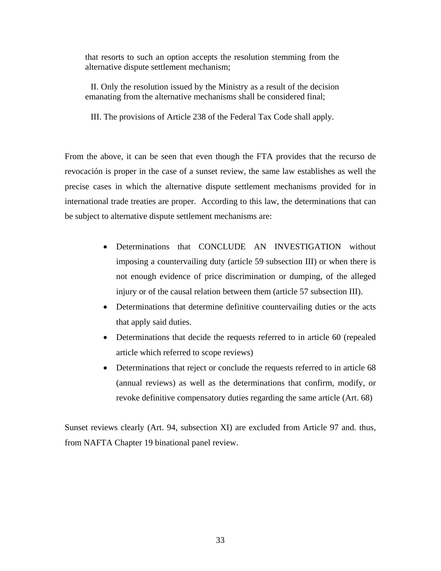that resorts to such an option accepts the resolution stemming from the alternative dispute settlement mechanism;

 II. Only the resolution issued by the Ministry as a result of the decision emanating from the alternative mechanisms shall be considered final;

III. The provisions of Article 238 of the Federal Tax Code shall apply.

From the above, it can be seen that even though the FTA provides that the recurso de revocación is proper in the case of a sunset review, the same law establishes as well the precise cases in which the alternative dispute settlement mechanisms provided for in international trade treaties are proper. According to this law, the determinations that can be subject to alternative dispute settlement mechanisms are:

- Determinations that CONCLUDE AN INVESTIGATION without imposing a countervailing duty (article 59 subsection III) or when there is not enough evidence of price discrimination or dumping, of the alleged injury or of the causal relation between them (article 57 subsection III).
- Determinations that determine definitive countervailing duties or the acts that apply said duties.
- Determinations that decide the requests referred to in article 60 (repealed article which referred to scope reviews)
- Determinations that reject or conclude the requests referred to in article 68 (annual reviews) as well as the determinations that confirm, modify, or revoke definitive compensatory duties regarding the same article (Art. 68)

Sunset reviews clearly (Art. 94, subsection XI) are excluded from Article 97 and. thus, from NAFTA Chapter 19 binational panel review.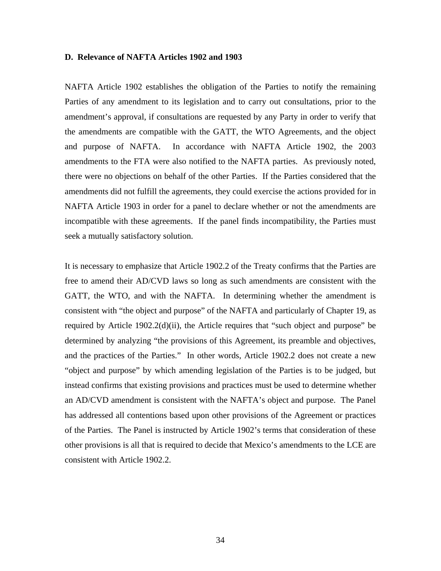#### **D. Relevance of NAFTA Articles 1902 and 1903**

NAFTA Article 1902 establishes the obligation of the Parties to notify the remaining Parties of any amendment to its legislation and to carry out consultations, prior to the amendment's approval, if consultations are requested by any Party in order to verify that the amendments are compatible with the GATT, the WTO Agreements, and the object and purpose of NAFTA. In accordance with NAFTA Article 1902, the 2003 amendments to the FTA were also notified to the NAFTA parties. As previously noted, there were no objections on behalf of the other Parties. If the Parties considered that the amendments did not fulfill the agreements, they could exercise the actions provided for in NAFTA Article 1903 in order for a panel to declare whether or not the amendments are incompatible with these agreements. If the panel finds incompatibility, the Parties must seek a mutually satisfactory solution.

It is necessary to emphasize that Article 1902.2 of the Treaty confirms that the Parties are free to amend their AD/CVD laws so long as such amendments are consistent with the GATT, the WTO, and with the NAFTA. In determining whether the amendment is consistent with "the object and purpose" of the NAFTA and particularly of Chapter 19, as required by Article 1902.2(d)(ii), the Article requires that "such object and purpose" be determined by analyzing "the provisions of this Agreement, its preamble and objectives, and the practices of the Parties." In other words, Article 1902.2 does not create a new "object and purpose" by which amending legislation of the Parties is to be judged, but instead confirms that existing provisions and practices must be used to determine whether an AD/CVD amendment is consistent with the NAFTA's object and purpose. The Panel has addressed all contentions based upon other provisions of the Agreement or practices of the Parties. The Panel is instructed by Article 1902's terms that consideration of these other provisions is all that is required to decide that Mexico's amendments to the LCE are consistent with Article 1902.2.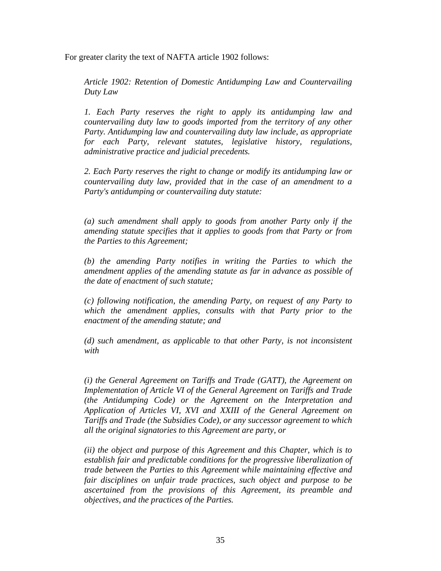For greater clarity the text of NAFTA article 1902 follows:

*Article 1902: Retention of Domestic Antidumping Law and Countervailing Duty Law* 

*1. Each Party reserves the right to apply its antidumping law and countervailing duty law to goods imported from the territory of any other Party. Antidumping law and countervailing duty law include, as appropriate for each Party, relevant statutes, legislative history, regulations, administrative practice and judicial precedents.* 

*2. Each Party reserves the right to change or modify its antidumping law or countervailing duty law, provided that in the case of an amendment to a Party's antidumping or countervailing duty statute:* 

*(a) such amendment shall apply to goods from another Party only if the amending statute specifies that it applies to goods from that Party or from the Parties to this Agreement;* 

*(b) the amending Party notifies in writing the Parties to which the amendment applies of the amending statute as far in advance as possible of the date of enactment of such statute;* 

*(c) following notification, the amending Party, on request of any Party to which the amendment applies, consults with that Party prior to the enactment of the amending statute; and* 

*(d) such amendment, as applicable to that other Party, is not inconsistent with* 

*(i) the General Agreement on Tariffs and Trade (GATT), the Agreement on Implementation of Article VI of the General Agreement on Tariffs and Trade (the Antidumping Code) or the Agreement on the Interpretation and Application of Articles VI, XVI and XXIII of the General Agreement on Tariffs and Trade (the Subsidies Code), or any successor agreement to which all the original signatories to this Agreement are party, or* 

*(ii) the object and purpose of this Agreement and this Chapter, which is to establish fair and predictable conditions for the progressive liberalization of trade between the Parties to this Agreement while maintaining effective and fair disciplines on unfair trade practices, such object and purpose to be ascertained from the provisions of this Agreement, its preamble and objectives, and the practices of the Parties.*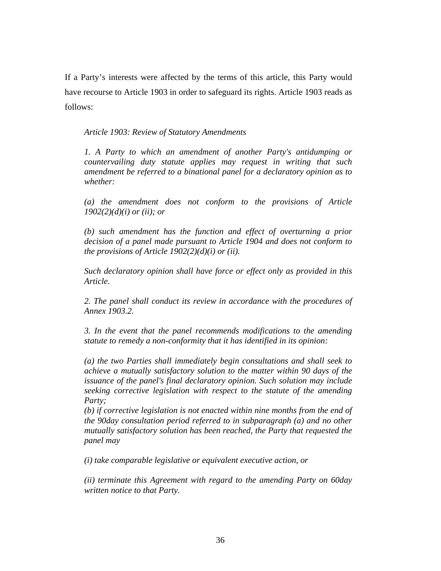If a Party's interests were affected by the terms of this article, this Party would have recourse to Article 1903 in order to safeguard its rights. Article 1903 reads as follows:

### *Article 1903: Review of Statutory Amendments*

*1. A Party to which an amendment of another Party's antidumping or countervailing duty statute applies may request in writing that such amendment be referred to a binational panel for a declaratory opinion as to whether:* 

*(a) the amendment does not conform to the provisions of Article 1902(2)(d)(i) or (ii); or* 

*(b) such amendment has the function and effect of overturning a prior decision of a panel made pursuant to Article 1904 and does not conform to the provisions of Article 1902(2)(d)(i) or (ii).* 

*Such declaratory opinion shall have force or effect only as provided in this Article.* 

*2. The panel shall conduct its review in accordance with the procedures of Annex 1903.2.* 

*3. In the event that the panel recommends modifications to the amending statute to remedy a non-conformity that it has identified in its opinion:* 

*(a) the two Parties shall immediately begin consultations and shall seek to achieve a mutually satisfactory solution to the matter within 90 days of the issuance of the panel's final declaratory opinion. Such solution may include seeking corrective legislation with respect to the statute of the amending Party;* 

*(b) if corrective legislation is not enacted within nine months from the end of the 90day consultation period referred to in subparagraph (a) and no other mutually satisfactory solution has been reached, the Party that requested the panel may* 

*(i) take comparable legislative or equivalent executive action, or* 

*(ii) terminate this Agreement with regard to the amending Party on 60day written notice to that Party.*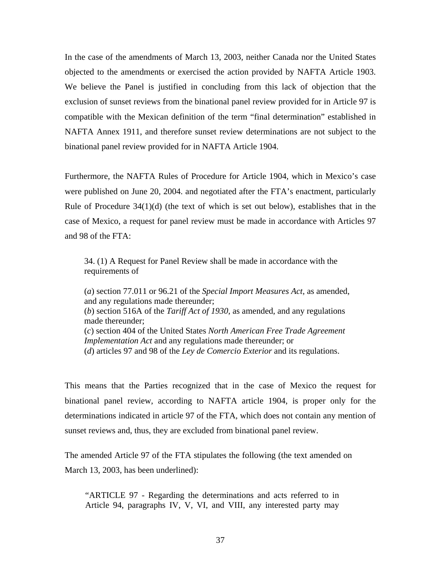In the case of the amendments of March 13, 2003, neither Canada nor the United States objected to the amendments or exercised the action provided by NAFTA Article 1903. We believe the Panel is justified in concluding from this lack of objection that the exclusion of sunset reviews from the binational panel review provided for in Article 97 is compatible with the Mexican definition of the term "final determination" established in NAFTA Annex 1911, and therefore sunset review determinations are not subject to the binational panel review provided for in NAFTA Article 1904.

Furthermore, the NAFTA Rules of Procedure for Article 1904, which in Mexico's case were published on June 20, 2004. and negotiated after the FTA's enactment, [particularly](http://www.nafta-sec-alena.org/DefaultSite/index_e.aspx?DetailID=190) Rule of Procedure  $34(1)(d)$  (the text of which is set out below), establishes that in the case of Mexico, a request for panel review must be made in accordance with Articles 97 and 98 of the FTA:

34. (1) A Request for Panel Review shall be made in accordance with the requirements of

(*a*) section 77.011 or 96.21 of the *Special Import Measures Act*, as amended, and any regulations made thereunder; (*b*) section 516A of the *Tariff Act of 1930*, as amended, and any regulations made thereunder; (*c*) section 404 of the United States *North American Free Trade Agreement Implementation Act* and any regulations made thereunder; or (*d*) articles 97 and 98 of the *Ley de Comercio Exterior* and its regulations.

This means that the Parties recognized that in the case of Mexico the request for binational panel review, according to NAFTA article 1904, is proper only for the determinations indicated in article 97 of the FTA, which does not contain any mention of sunset reviews and, thus, they are excluded from binational panel review.

The amended Article 97 of the FTA stipulates the following (the text amended on March 13, 2003, has been underlined):

"ARTICLE 97 - Regarding the determinations and acts referred to in Article 94, paragraphs IV, V, VI, and VIII, any interested party may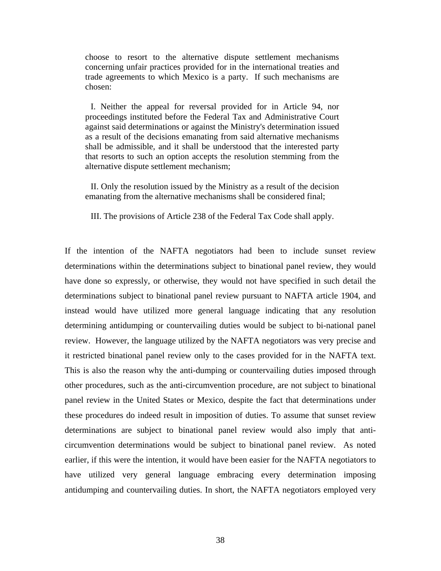choose to resort to the alternative dispute settlement mechanisms concerning unfair practices provided for in the international treaties and trade agreements to which Mexico is a party. If such mechanisms are chosen:

 I. Neither the appeal for reversal provided for in Article 94, nor proceedings instituted before the Federal Tax and Administrative Court against said determinations or against the Ministry's determination issued as a result of the decisions emanating from said alternative mechanisms shall be admissible, and it shall be understood that the interested party that resorts to such an option accepts the resolution stemming from the alternative dispute settlement mechanism;

 II. Only the resolution issued by the Ministry as a result of the decision emanating from the alternative mechanisms shall be considered final;

III. The provisions of Article 238 of the Federal Tax Code shall apply.

If the intention of the NAFTA negotiators had been to include sunset review determinations within the determinations subject to binational panel review, they would have done so expressly, or otherwise, they would not have specified in such detail the determinations subject to binational panel review pursuant to NAFTA article 1904, and instead would have utilized more general language indicating that any resolution determining antidumping or countervailing duties would be subject to bi-national panel review. However, the language utilized by the NAFTA negotiators was very precise and it restricted binational panel review only to the cases provided for in the NAFTA text. This is also the reason why the anti-dumping or countervailing duties imposed through other procedures, such as the anti-circumvention procedure, are not subject to binational panel review in the United States or Mexico, despite the fact that determinations under these procedures do indeed result in imposition of duties. To assume that sunset review determinations are subject to binational panel review would also imply that anticircumvention determinations would be subject to binational panel review. As noted earlier, if this were the intention, it would have been easier for the NAFTA negotiators to have utilized very general language embracing every determination imposing antidumping and countervailing duties. In short, the NAFTA negotiators employed very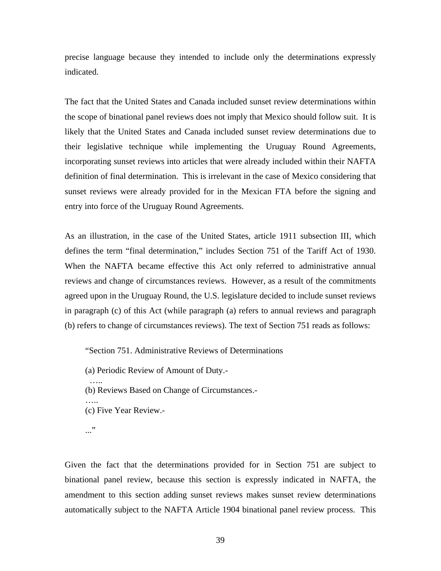precise language because they intended to include only the determinations expressly indicated.

The fact that the United States and Canada included sunset review determinations within the scope of binational panel reviews does not imply that Mexico should follow suit. It is likely that the United States and Canada included sunset review determinations due to their legislative technique while implementing the Uruguay Round Agreements, incorporating sunset reviews into articles that were already included within their NAFTA definition of final determination. This is irrelevant in the case of Mexico considering that sunset reviews were already provided for in the Mexican FTA before the signing and entry into force of the Uruguay Round Agreements.

As an illustration, in the case of the United States, article 1911 subsection III, which defines the term "final determination," includes Section 751 of the Tariff Act of 1930. When the NAFTA became effective this Act only referred to administrative annual reviews and change of circumstances reviews. However, as a result of the commitments agreed upon in the Uruguay Round, the U.S. legislature decided to include sunset reviews in paragraph (c) of this Act (while paragraph (a) refers to annual reviews and paragraph (b) refers to change of circumstances reviews). The text of Section 751 reads as follows:

"Section 751. Administrative Reviews of Determinations

(a) Periodic Review of Amount of Duty.-

(b) Reviews Based on Change of Circumstances.-

(c) Five Year Review.-

..."

…..

…..

Given the fact that the determinations provided for in Section 751 are subject to binational panel review, because this section is expressly indicated in NAFTA, the amendment to this section adding sunset reviews makes sunset review determinations automatically subject to the NAFTA Article 1904 binational panel review process. This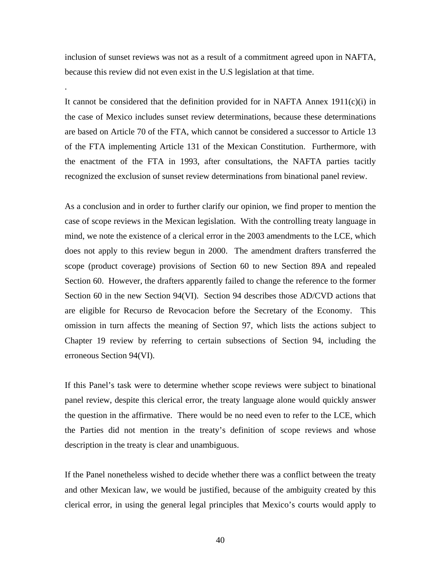inclusion of sunset reviews was not as a result of a commitment agreed upon in NAFTA, because this review did not even exist in the U.S legislation at that time.

.

It cannot be considered that the definition provided for in NAFTA Annex  $1911(c)(i)$  in the case of Mexico includes sunset review determinations, because these determinations are based on Article 70 of the FTA, which cannot be considered a successor to Article 13 of the FTA implementing Article 131 of the Mexican Constitution. Furthermore, with the enactment of the FTA in 1993, after consultations, the NAFTA parties tacitly recognized the exclusion of sunset review determinations from binational panel review.

As a conclusion and in order to further clarify our opinion, we find proper to mention the case of scope reviews in the Mexican legislation. With the controlling treaty language in mind, we note the existence of a clerical error in the 2003 amendments to the LCE, which does not apply to this review begun in 2000. The amendment drafters transferred the scope (product coverage) provisions of Section 60 to new Section 89A and repealed Section 60. However, the drafters apparently failed to change the reference to the former Section 60 in the new Section 94(VI). Section 94 describes those AD/CVD actions that are eligible for Recurso de Revocacion before the Secretary of the Economy. This omission in turn affects the meaning of Section 97, which lists the actions subject to Chapter 19 review by referring to certain subsections of Section 94, including the erroneous Section 94(VI).

If this Panel's task were to determine whether scope reviews were subject to binational panel review, despite this clerical error, the treaty language alone would quickly answer the question in the affirmative. There would be no need even to refer to the LCE, which the Parties did not mention in the treaty's definition of scope reviews and whose description in the treaty is clear and unambiguous.

If the Panel nonetheless wished to decide whether there was a conflict between the treaty and other Mexican law, we would be justified, because of the ambiguity created by this clerical error, in using the general legal principles that Mexico's courts would apply to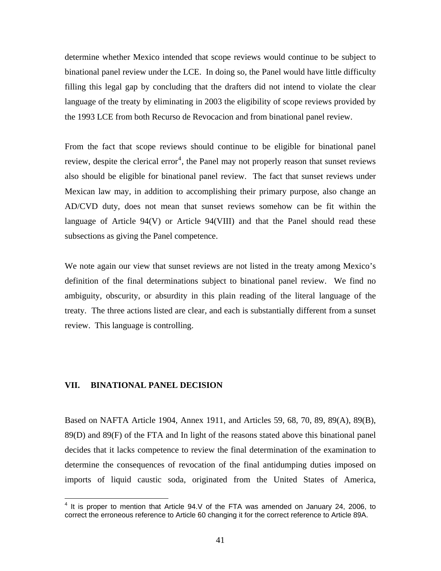determine whether Mexico intended that scope reviews would continue to be subject to binational panel review under the LCE. In doing so, the Panel would have little difficulty filling this legal gap by concluding that the drafters did not intend to violate the clear language of the treaty by eliminating in 2003 the eligibility of scope reviews provided by the 1993 LCE from both Recurso de Revocacion and from binational panel review.

From the fact that scope reviews should continue to be eligible for binational panel review, despite the clerical error<sup>[4](#page-40-0)</sup>, the Panel may not properly reason that sunset reviews also should be eligible for binational panel review. The fact that sunset reviews under Mexican law may, in addition to accomplishing their primary purpose, also change an AD/CVD duty, does not mean that sunset reviews somehow can be fit within the language of Article 94(V) or Article 94(VIII) and that the Panel should read these subsections as giving the Panel competence.

We note again our view that sunset reviews are not listed in the treaty among Mexico's definition of the final determinations subject to binational panel review. We find no ambiguity, obscurity, or absurdity in this plain reading of the literal language of the treaty. The three actions listed are clear, and each is substantially different from a sunset review. This language is controlling.

# **VII. BINATIONAL PANEL DECISION**

Based on NAFTA Article 1904, Annex 1911, and Articles 59, 68, 70, 89, 89(A), 89(B), 89(D) and 89(F) of the FTA and In light of the reasons stated above this binational panel decides that it lacks competence to review the final determination of the examination to determine the consequences of revocation of the final antidumping duties imposed on imports of liquid caustic soda, originated from the United States of America,

<span id="page-40-0"></span> 4 It is proper to mention that Article 94.V of the FTA was amended on January 24, 2006, to correct the erroneous reference to Article 60 changing it for the correct reference to Article 89A.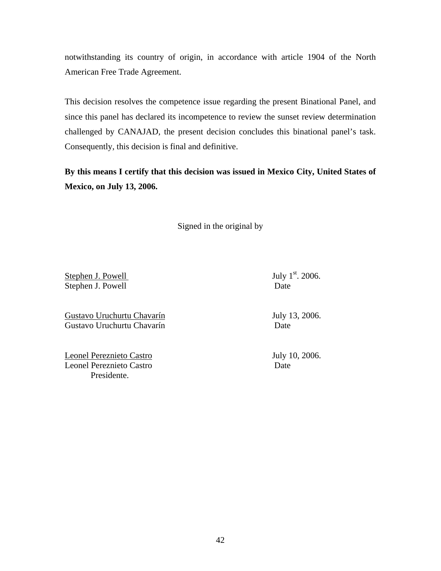notwithstanding its country of origin, in accordance with article 1904 of the North American Free Trade Agreement.

This decision resolves the competence issue regarding the present Binational Panel, and since this panel has declared its incompetence to review the sunset review determination challenged by CANAJAD, the present decision concludes this binational panel's task. Consequently, this decision is final and definitive.

**By this means I certify that this decision was issued in Mexico City, United States of Mexico, on July 13, 2006.** 

Signed in the original by

Stephen J. Powell July  $1^{st}$ . 2006. Stephen J. Powell Date

Gustavo Uruchurtu Chavarín July 13, 2006. Gustavo Uruchurtu Chavarín **Date** 

Leonel Pereznieto Castro July 10, 2006. Leonel Pereznieto Castro **Date** Presidente.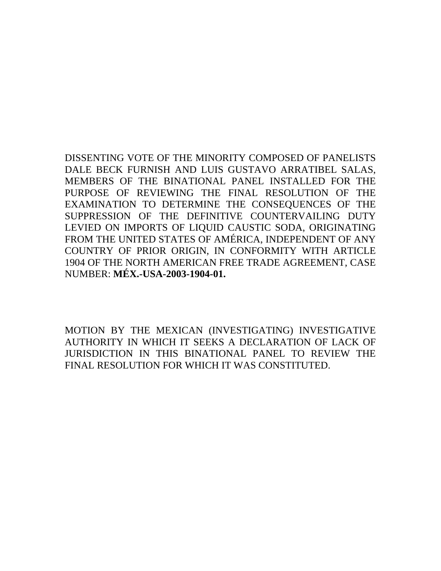DISSENTING VOTE OF THE MINORITY COMPOSED OF PANELISTS DALE BECK FURNISH AND LUIS GUSTAVO ARRATIBEL SALAS, MEMBERS OF THE BINATIONAL PANEL INSTALLED FOR THE PURPOSE OF REVIEWING THE FINAL RESOLUTION OF THE EXAMINATION TO DETERMINE THE CONSEQUENCES OF THE SUPPRESSION OF THE DEFINITIVE COUNTERVAILING DUTY LEVIED ON IMPORTS OF LIQUID CAUSTIC SODA, ORIGINATING FROM THE UNITED STATES OF AMÉRICA, INDEPENDENT OF ANY COUNTRY OF PRIOR ORIGIN, IN CONFORMITY WITH ARTICLE 1904 OF THE NORTH AMERICAN FREE TRADE AGREEMENT, CASE NUMBER: **MÉX.-USA-2003-1904-01.** 

MOTION BY THE MEXICAN (INVESTIGATING) INVESTIGATIVE AUTHORITY IN WHICH IT SEEKS A DECLARATION OF LACK OF JURISDICTION IN THIS BINATIONAL PANEL TO REVIEW THE FINAL RESOLUTION FOR WHICH IT WAS CONSTITUTED.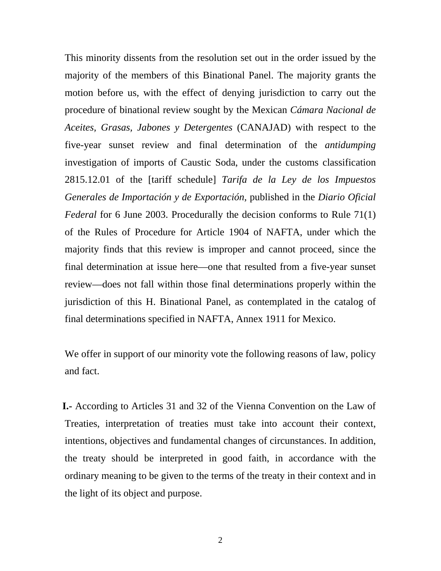This minority dissents from the resolution set out in the order issued by the majority of the members of this Binational Panel. The majority grants the motion before us, with the effect of denying jurisdiction to carry out the procedure of binational review sought by the Mexican *Cámara Nacional de Aceites, Grasas, Jabones y Detergentes* (CANAJAD) with respect to the five-year sunset review and final determination of the *antidumping* investigation of imports of Caustic Soda, under the customs classification 2815.12.01 of the [tariff schedule] *Tarifa de la Ley de los Impuestos Generales de Importación y de Exportación*, published in the *Diario Oficial Federal* for 6 June 2003. Procedurally the decision conforms to Rule 71(1) of the Rules of Procedure for Article 1904 of NAFTA, under which the majority finds that this review is improper and cannot proceed, since the final determination at issue here—one that resulted from a five-year sunset review—does not fall within those final determinations properly within the jurisdiction of this H. Binational Panel, as contemplated in the catalog of final determinations specified in NAFTA, Annex 1911 for Mexico.

We offer in support of our minority vote the following reasons of law, policy and fact.

**I.-** According to Articles 31 and 32 of the Vienna Convention on the Law of Treaties, interpretation of treaties must take into account their context, intentions, objectives and fundamental changes of circunstances. In addition, the treaty should be interpreted in good faith, in accordance with the ordinary meaning to be given to the terms of the treaty in their context and in the light of its object and purpose.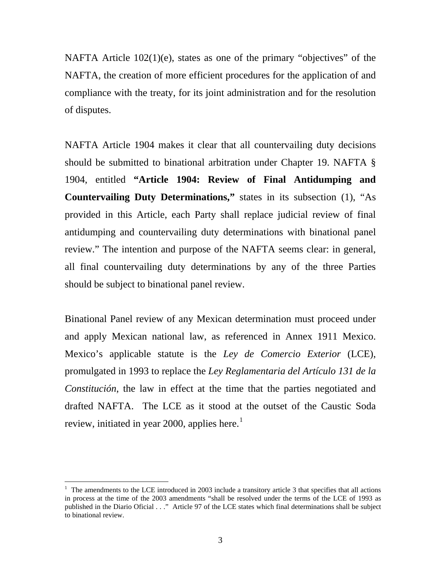NAFTA Article 102(1)(e), states as one of the primary "objectives" of the NAFTA, the creation of more efficient procedures for the application of and compliance with the treaty, for its joint administration and for the resolution of disputes.

NAFTA Article 1904 makes it clear that all countervailing duty decisions should be submitted to binational arbitration under Chapter 19. NAFTA § 1904, entitled **"Article 1904: Review of Final Antidumping and Countervailing Duty Determinations,"** states in its subsection (1), "As provided in this Article, each Party shall replace judicial review of final antidumping and countervailing duty determinations with binational panel review." The intention and purpose of the NAFTA seems clear: in general, all final countervailing duty determinations by any of the three Parties should be subject to binational panel review.

Binational Panel review of any Mexican determination must proceed under and apply Mexican national law, as referenced in Annex 1911 Mexico. Mexico's applicable statute is the *Ley de Comercio Exterior* (LCE), promulgated in 1993 to replace the *Ley Reglamentaria del Artículo 131 de la Constitución*, the law in effect at the time that the parties negotiated and drafted NAFTA. The LCE as it stood at the outset of the Caustic Soda review, initiated in year 2000, applies here.<sup>[1](#page-44-0)</sup>

 $\overline{a}$ 

<span id="page-44-0"></span><sup>&</sup>lt;sup>1</sup> The amendments to the LCE introduced in 2003 include a transitory article 3 that specifies that all actions in process at the time of the 2003 amendments "shall be resolved under the terms of the LCE of 1993 as published in the Diario Oficial . . ." Article 97 of the LCE states which final determinations shall be subject to binational review.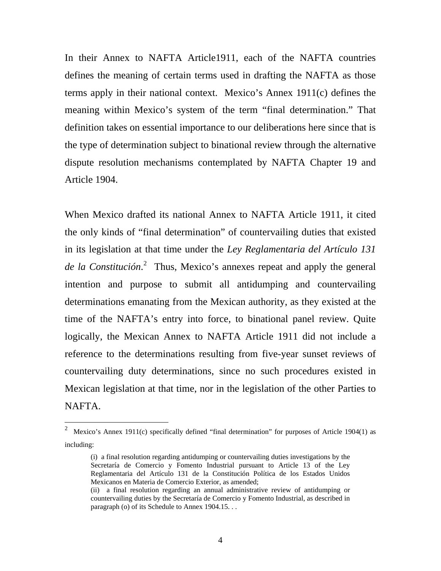In their Annex to NAFTA Article1911, each of the NAFTA countries defines the meaning of certain terms used in drafting the NAFTA as those terms apply in their national context. Mexico's Annex 1911(c) defines the meaning within Mexico's system of the term "final determination." That definition takes on essential importance to our deliberations here since that is the type of determination subject to binational review through the alternative dispute resolution mechanisms contemplated by NAFTA Chapter 19 and Article 1904.

When Mexico drafted its national Annex to NAFTA Article 1911, it cited the only kinds of "final determination" of countervailing duties that existed in its legislation at that time under the *Ley Reglamentaria del Artículo 131*  de la Constitución.<sup>[2](#page-45-0)</sup> Thus, Mexico's annexes repeat and apply the general intention and purpose to submit all antidumping and countervailing determinations emanating from the Mexican authority, as they existed at the time of the NAFTA's entry into force, to binational panel review. Quite logically, the Mexican Annex to NAFTA Article 1911 did not include a reference to the determinations resulting from five-year sunset reviews of countervailing duty determinations, since no such procedures existed in Mexican legislation at that time, nor in the legislation of the other Parties to NAFTA.

 $\overline{a}$ 

<span id="page-45-0"></span><sup>2</sup> Mexico's Annex 1911(c) specifically defined "final determination" for purposes of Article 1904(1) as including:

<sup>(</sup>i) a final resolution regarding antidumping or countervailing duties investigations by the Secretaría de Comercio y Fomento Industrial pursuant to Article 13 of the Ley Reglamentaria del Artículo 131 de la Constitución Política de los Estados Unidos Mexicanos en Materia de Comercio Exterior, as amended;

<sup>(</sup>ii) a final resolution regarding an annual administrative review of antidumping or countervailing duties by the Secretaría de Comercio y Fomento Industrial, as described in paragraph (o) of its Schedule to Annex 1904.15. . .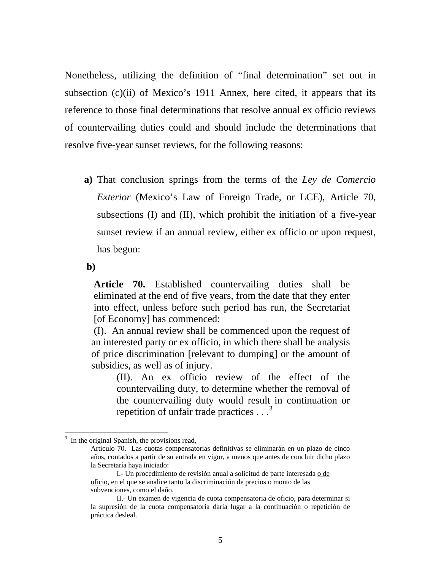Nonetheless, utilizing the definition of "final determination" set out in subsection  $(c)(ii)$  of Mexico's 1911 Annex, here cited, it appears that its reference to those final determinations that resolve annual ex officio reviews of countervailing duties could and should include the determinations that resolve five-year sunset reviews, for the following reasons:

**a)** That conclusion springs from the terms of the *Ley de Comercio Exterior* (Mexico's Law of Foreign Trade, or LCE), Article 70, subsections (I) and (II), which prohibit the initiation of a five-year sunset review if an annual review, either ex officio or upon request, has begun:

**b)**

 $\overline{a}$ 

**Article 70.** Established countervailing duties shall be eliminated at the end of five years, from the date that they enter into effect, unless before such period has run, the Secretariat [of Economy] has commenced:

 (I). An annual review shall be commenced upon the request of an interested party or ex officio, in which there shall be analysis of price discrimination [relevant to dumping] or the amount of subsidies, as well as of injury.

(II). An ex officio review of the effect of the countervailing duty, to determine whether the removal of the countervailing duty would result in continuation or repetition of unfair trade practices  $\ldots$ <sup>[3](#page-46-0)</sup>

<span id="page-46-0"></span> $3\,$  In the original Spanish, the provisions read,

Artículo 70. Las cuotas compensatorias definitivas se eliminarán en un plazo de cinco años, contados a partir de su entrada en vigor, a menos que antes de concluir dicho plazo la Secretaría haya iniciado:

I.- Un procedimiento de revisión anual a solicitud de parte interesada o de oficio, en el que se analice tanto la discriminación de precios o monto de las subvenciones, como el daño.

II.- Un examen de vigencia de cuota compensatoria de oficio, para determinar si la supresión de la cuota compensatoria daría lugar a la continuación o repetición de práctica desleal.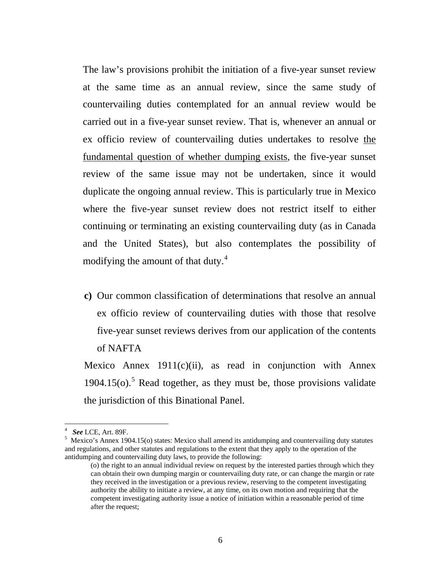The law's provisions prohibit the initiation of a five-year sunset review at the same time as an annual review, since the same study of countervailing duties contemplated for an annual review would be carried out in a five-year sunset review. That is, whenever an annual or ex officio review of countervailing duties undertakes to resolve the fundamental question of whether dumping exists, the five-year sunset review of the same issue may not be undertaken, since it would duplicate the ongoing annual review. This is particularly true in Mexico where the five-year sunset review does not restrict itself to either continuing or terminating an existing countervailing duty (as in Canada and the United States), but also contemplates the possibility of modifying the amount of that duty.<sup>[4](#page-47-0)</sup>

**c)** Our common classification of determinations that resolve an annual ex officio review of countervailing duties with those that resolve five-year sunset reviews derives from our application of the contents of NAFTA

Mexico Annex  $1911(c)(ii)$ , as read in conjunction with Annex  $1904.15$  $1904.15$ (o).<sup>5</sup> Read together, as they must be, those provisions validate the jurisdiction of this Binational Panel.

 $\overline{a}$ 

<sup>4</sup> *See LCE, Art. 89F.* 

<span id="page-47-1"></span><span id="page-47-0"></span><sup>&</sup>lt;sup>5</sup> Mexico's Annex 1904.15(o) states: Mexico shall amend its antidumping and countervailing duty statutes and regulations, and other statutes and regulations to the extent that they apply to the operation of the antidumping and countervailing duty laws, to provide the following:

<sup>(</sup>o) the right to an annual individual review on request by the interested parties through which they can obtain their own dumping margin or countervailing duty rate, or can change the margin or rate they received in the investigation or a previous review, reserving to the competent investigating authority the ability to initiate a review, at any time, on its own motion and requiring that the competent investigating authority issue a notice of initiation within a reasonable period of time after the request;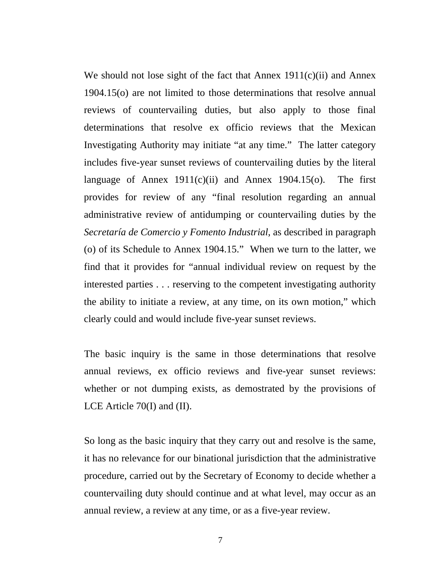We should not lose sight of the fact that Annex  $1911(c)(ii)$  and Annex 1904.15(o) are not limited to those determinations that resolve annual reviews of countervailing duties, but also apply to those final determinations that resolve ex officio reviews that the Mexican Investigating Authority may initiate "at any time." The latter category includes five-year sunset reviews of countervailing duties by the literal language of Annex  $1911(c)(ii)$  and Annex  $1904.15(c)$ . The first provides for review of any "final resolution regarding an annual administrative review of antidumping or countervailing duties by the *Secretaría de Comercio y Fomento Industrial*, as described in paragraph (o) of its Schedule to Annex 1904.15." When we turn to the latter, we find that it provides for "annual individual review on request by the interested parties . . . reserving to the competent investigating authority the ability to initiate a review, at any time, on its own motion," which clearly could and would include five-year sunset reviews.

The basic inquiry is the same in those determinations that resolve annual reviews, ex officio reviews and five-year sunset reviews: whether or not dumping exists, as demostrated by the provisions of LCE Article 70(I) and (II).

So long as the basic inquiry that they carry out and resolve is the same, it has no relevance for our binational jurisdiction that the administrative procedure, carried out by the Secretary of Economy to decide whether a countervailing duty should continue and at what level, may occur as an annual review, a review at any time, or as a five-year review.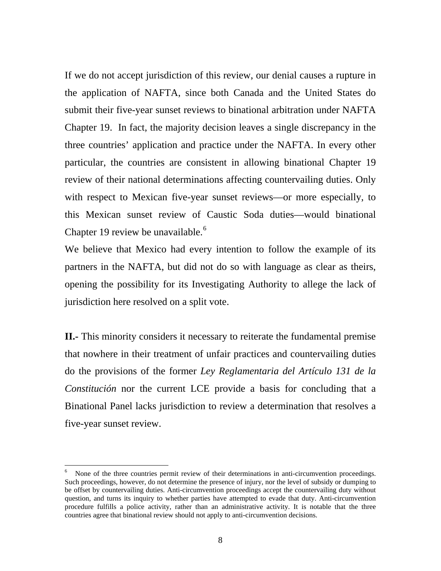If we do not accept jurisdiction of this review, our denial causes a rupture in the application of NAFTA, since both Canada and the United States do submit their five-year sunset reviews to binational arbitration under NAFTA Chapter 19. In fact, the majority decision leaves a single discrepancy in the three countries' application and practice under the NAFTA. In every other particular, the countries are consistent in allowing binational Chapter 19 review of their national determinations affecting countervailing duties. Only with respect to Mexican five-year sunset reviews—or more especially, to this Mexican sunset review of Caustic Soda duties—would binational Chapter 19 review be unavailable.<sup>[6](#page-49-0)</sup>

We believe that Mexico had every intention to follow the example of its partners in the NAFTA, but did not do so with language as clear as theirs, opening the possibility for its Investigating Authority to allege the lack of jurisdiction here resolved on a split vote.

**II.-** This minority considers it necessary to reiterate the fundamental premise that nowhere in their treatment of unfair practices and countervailing duties do the provisions of the former *Ley Reglamentaria del Artículo 131 de la Constitución* nor the current LCE provide a basis for concluding that a Binational Panel lacks jurisdiction to review a determination that resolves a five-year sunset review.

 $\overline{a}$ 

<span id="page-49-0"></span><sup>6</sup> None of the three countries permit review of their determinations in anti-circumvention proceedings. Such proceedings, however, do not determine the presence of injury, nor the level of subsidy or dumping to be offset by countervailing duties. Anti-circumvention proceedings accept the countervailing duty without question, and turns its inquiry to whether parties have attempted to evade that duty. Anti-circumvention procedure fulfills a police activity, rather than an administrative activity. It is notable that the three countries agree that binational review should not apply to anti-circumvention decisions.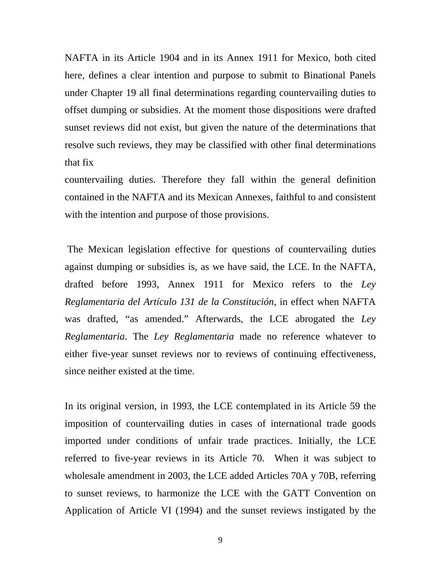NAFTA in its Article 1904 and in its Annex 1911 for Mexico, both cited here, defines a clear intention and purpose to submit to Binational Panels under Chapter 19 all final determinations regarding countervailing duties to offset dumping or subsidies. At the moment those dispositions were drafted sunset reviews did not exist, but given the nature of the determinations that resolve such reviews, they may be classified with other final determinations that fix

countervailing duties. Therefore they fall within the general definition contained in the NAFTA and its Mexican Annexes, faithful to and consistent with the intention and purpose of those provisions.

 The Mexican legislation effective for questions of countervailing duties against dumping or subsidies is, as we have said, the LCE. In the NAFTA, drafted before 1993, Annex 1911 for Mexico refers to the *Ley Reglamentaria del Artículo 131 de la Constitución*, in effect when NAFTA was drafted, "as amended." Afterwards, the LCE abrogated the *Ley Reglamentaria*. The *Ley Reglamentaria* made no reference whatever to either five-year sunset reviews nor to reviews of continuing effectiveness, since neither existed at the time.

In its original version, in 1993, the LCE contemplated in its Article 59 the imposition of countervailing duties in cases of international trade goods imported under conditions of unfair trade practices. Initially, the LCE referred to five-year reviews in its Article 70. When it was subject to wholesale amendment in 2003, the LCE added Articles 70A y 70B, referring to sunset reviews, to harmonize the LCE with the GATT Convention on Application of Article VI (1994) and the sunset reviews instigated by the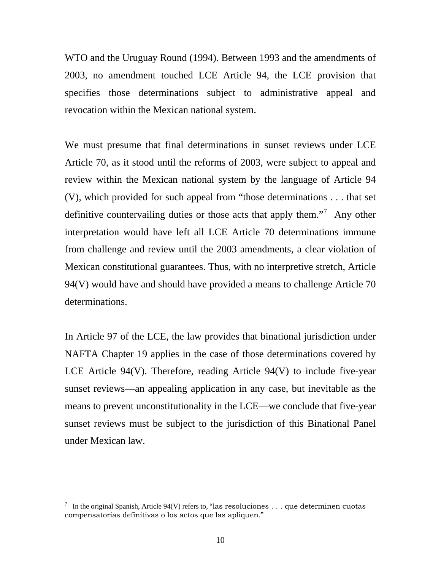WTO and the Uruguay Round (1994). Between 1993 and the amendments of 2003, no amendment touched LCE Article 94, the LCE provision that specifies those determinations subject to administrative appeal and revocation within the Mexican national system.

We must presume that final determinations in sunset reviews under LCE Article 70, as it stood until the reforms of 2003, were subject to appeal and review within the Mexican national system by the language of Article 94 (V), which provided for such appeal from "those determinations . . . that set definitive countervailing duties or those acts that apply them."<sup>[7](#page-51-0)</sup> Any other interpretation would have left all LCE Article 70 determinations immune from challenge and review until the 2003 amendments, a clear violation of Mexican constitutional guarantees. Thus, with no interpretive stretch, Article 94(V) would have and should have provided a means to challenge Article 70 determinations.

In Article 97 of the LCE, the law provides that binational jurisdiction under NAFTA Chapter 19 applies in the case of those determinations covered by LCE Article 94(V). Therefore, reading Article 94(V) to include five-year sunset reviews—an appealing application in any case, but inevitable as the means to prevent unconstitutionality in the LCE—we conclude that five-year sunset reviews must be subject to the jurisdiction of this Binational Panel under Mexican law.

 $\overline{a}$ 

<span id="page-51-0"></span><sup>&</sup>lt;sup>7</sup> In the original Spanish, Article 94(V) refers to, "las resoluciones . . . que determinen cuotas compensatorias definitivas o los actos que las apliquen."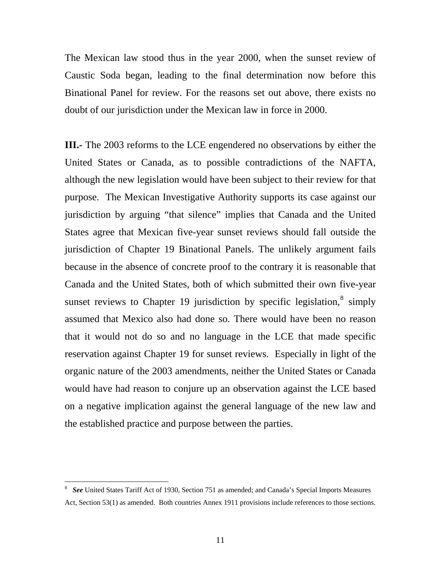The Mexican law stood thus in the year 2000, when the sunset review of Caustic Soda began, leading to the final determination now before this Binational Panel for review. For the reasons set out above, there exists no doubt of our jurisdiction under the Mexican law in force in 2000.

**III.-** The 2003 reforms to the LCE engendered no observations by either the United States or Canada, as to possible contradictions of the NAFTA, although the new legislation would have been subject to their review for that purpose. The Mexican Investigative Authority supports its case against our jurisdiction by arguing "that silence" implies that Canada and the United States agree that Mexican five-year sunset reviews should fall outside the jurisdiction of Chapter 19 Binational Panels. The unlikely argument fails because in the absence of concrete proof to the contrary it is reasonable that Canada and the United States, both of which submitted their own five-year sunset reviews to Chapter 19 jurisdiction by specific legislation, $\delta$  simply assumed that Mexico also had done so. There would have been no reason that it would not do so and no language in the LCE that made specific reservation against Chapter 19 for sunset reviews. Especially in light of the organic nature of the 2003 amendments, neither the United States or Canada would have had reason to conjure up an observation against the LCE based on a negative implication against the general language of the new law and the established practice and purpose between the parties.

<span id="page-52-0"></span><sup>&</sup>lt;sup>8</sup> **See** United States Tariff Act of 1930, Section 751 as amended; and Canada's Special Imports Measures Act, Section 53(1) as amended. Both countries Annex 1911 provisions include references to those sections.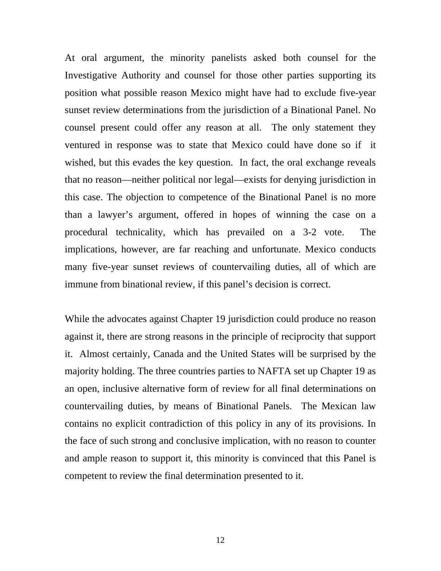At oral argument, the minority panelists asked both counsel for the Investigative Authority and counsel for those other parties supporting its position what possible reason Mexico might have had to exclude five-year sunset review determinations from the jurisdiction of a Binational Panel. No counsel present could offer any reason at all. The only statement they ventured in response was to state that Mexico could have done so if it wished, but this evades the key question. In fact, the oral exchange reveals that no reason—neither political nor legal—exists for denying jurisdiction in this case. The objection to competence of the Binational Panel is no more than a lawyer's argument, offered in hopes of winning the case on a procedural technicality, which has prevailed on a 3-2 vote. The implications, however, are far reaching and unfortunate. Mexico conducts many five-year sunset reviews of countervailing duties, all of which are immune from binational review, if this panel's decision is correct.

While the advocates against Chapter 19 jurisdiction could produce no reason against it, there are strong reasons in the principle of reciprocity that support it. Almost certainly, Canada and the United States will be surprised by the majority holding. The three countries parties to NAFTA set up Chapter 19 as an open, inclusive alternative form of review for all final determinations on countervailing duties, by means of Binational Panels. The Mexican law contains no explicit contradiction of this policy in any of its provisions. In the face of such strong and conclusive implication, with no reason to counter and ample reason to support it, this minority is convinced that this Panel is competent to review the final determination presented to it.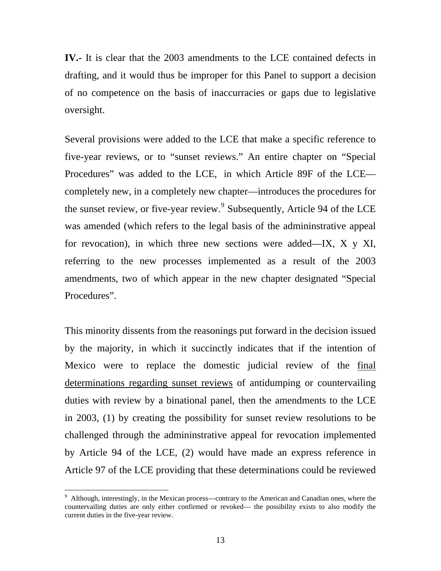**IV.-** It is clear that the 2003 amendments to the LCE contained defects in drafting, and it would thus be improper for this Panel to support a decision of no competence on the basis of inaccurracies or gaps due to legislative oversight.

Several provisions were added to the LCE that make a specific reference to five-year reviews, or to "sunset reviews." An entire chapter on "Special Procedures" was added to the LCE, in which Article 89F of the LCE completely new, in a completely new chapter—introduces the procedures for the sunset review, or five-year review.<sup>[9](#page-54-0)</sup> Subsequently, Article 94 of the LCE was amended (which refers to the legal basis of the admininstrative appeal for revocation), in which three new sections were added—IX, X y XI, referring to the new processes implemented as a result of the 2003 amendments, two of which appear in the new chapter designated "Special Procedures".

This minority dissents from the reasonings put forward in the decision issued by the majority, in which it succinctly indicates that if the intention of Mexico were to replace the domestic judicial review of the final determinations regarding sunset reviews of antidumping or countervailing duties with review by a binational panel, then the amendments to the LCE in 2003, (1) by creating the possibility for sunset review resolutions to be challenged through the admininstrative appeal for revocation implemented by Article 94 of the LCE, (2) would have made an express reference in Article 97 of the LCE providing that these determinations could be reviewed

 $\overline{a}$ 

<span id="page-54-0"></span><sup>&</sup>lt;sup>9</sup> Although, interestingly, in the Mexican process—contrary to the American and Canadian ones, where the countervailing duties are only either confirmed or revoked— the possibility exists to also modify the current duties in the five-year review.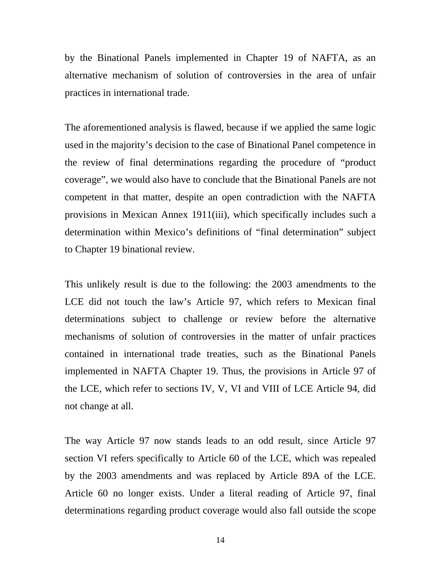by the Binational Panels implemented in Chapter 19 of NAFTA, as an alternative mechanism of solution of controversies in the area of unfair practices in international trade.

The aforementioned analysis is flawed, because if we applied the same logic used in the majority's decision to the case of Binational Panel competence in the review of final determinations regarding the procedure of "product coverage", we would also have to conclude that the Binational Panels are not competent in that matter, despite an open contradiction with the NAFTA provisions in Mexican Annex 1911(iii), which specifically includes such a determination within Mexico's definitions of "final determination" subject to Chapter 19 binational review.

This unlikely result is due to the following: the 2003 amendments to the LCE did not touch the law's Article 97, which refers to Mexican final determinations subject to challenge or review before the alternative mechanisms of solution of controversies in the matter of unfair practices contained in international trade treaties, such as the Binational Panels implemented in NAFTA Chapter 19. Thus, the provisions in Article 97 of the LCE, which refer to sections IV, V, VI and VIII of LCE Article 94, did not change at all.

The way Article 97 now stands leads to an odd result, since Article 97 section VI refers specifically to Article 60 of the LCE, which was repealed by the 2003 amendments and was replaced by Article 89A of the LCE. Article 60 no longer exists. Under a literal reading of Article 97, final determinations regarding product coverage would also fall outside the scope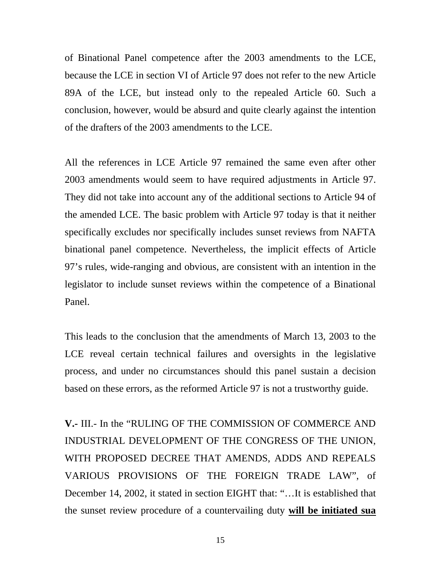of Binational Panel competence after the 2003 amendments to the LCE, because the LCE in section VI of Article 97 does not refer to the new Article 89A of the LCE, but instead only to the repealed Article 60. Such a conclusion, however, would be absurd and quite clearly against the intention of the drafters of the 2003 amendments to the LCE.

All the references in LCE Article 97 remained the same even after other 2003 amendments would seem to have required adjustments in Article 97. They did not take into account any of the additional sections to Article 94 of the amended LCE. The basic problem with Article 97 today is that it neither specifically excludes nor specifically includes sunset reviews from NAFTA binational panel competence. Nevertheless, the implicit effects of Article 97's rules, wide-ranging and obvious, are consistent with an intention in the legislator to include sunset reviews within the competence of a Binational Panel.

This leads to the conclusion that the amendments of March 13, 2003 to the LCE reveal certain technical failures and oversights in the legislative process, and under no circumstances should this panel sustain a decision based on these errors, as the reformed Article 97 is not a trustworthy guide.

**V.-** III.- In the "RULING OF THE COMMISSION OF COMMERCE AND INDUSTRIAL DEVELOPMENT OF THE CONGRESS OF THE UNION, WITH PROPOSED DECREE THAT AMENDS, ADDS AND REPEALS VARIOUS PROVISIONS OF THE FOREIGN TRADE LAW", of December 14, 2002, it stated in section EIGHT that: "…It is established that the sunset review procedure of a countervailing duty **will be initiated sua**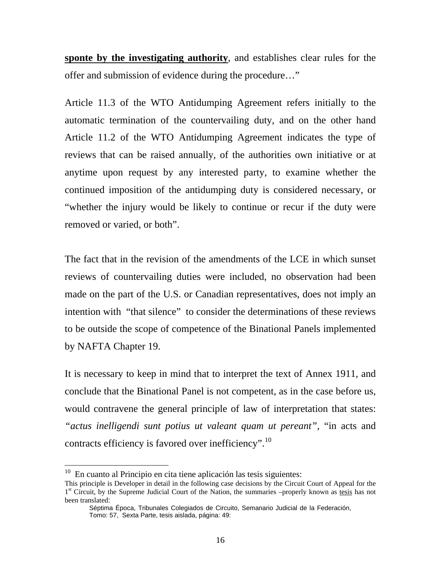**sponte by the investigating authority**, and establishes clear rules for the offer and submission of evidence during the procedure…"

Article 11.3 of the WTO Antidumping Agreement refers initially to the automatic termination of the countervailing duty, and on the other hand Article 11.2 of the WTO Antidumping Agreement indicates the type of reviews that can be raised annually, of the authorities own initiative or at anytime upon request by any interested party, to examine whether the continued imposition of the antidumping duty is considered necessary, or "whether the injury would be likely to continue or recur if the duty were removed or varied, or both".

The fact that in the revision of the amendments of the LCE in which sunset reviews of countervailing duties were included, no observation had been made on the part of the U.S. or Canadian representatives, does not imply an intention with "that silence" to consider the determinations of these reviews to be outside the scope of competence of the Binational Panels implemented by NAFTA Chapter 19.

It is necessary to keep in mind that to interpret the text of Annex 1911, and conclude that the Binational Panel is not competent, as in the case before us, would contravene the general principle of law of interpretation that states: *"actus inelligendi sunt potius ut valeant quam ut pereant",* "in acts and contracts efficiency is favored over inefficiency".<sup>[10](#page-57-0)</sup>

 $\overline{a}$ 

 $10$  En cuanto al Principio en cita tiene aplicación las tesis siguientes:

<span id="page-57-0"></span>This principle is Developer in detail in the following case decisions by the Circuit Court of Appeal for the 1<sup>st</sup> Circuit, by the Supreme Judicial Court of the Nation, the summaries –properly known as tesis has not been translated:

Séptima Época, Tribunales Colegiados de Circuito, Semanario Judicial de la Federación, Tomo: 57, Sexta Parte, tesis aislada, página: 49: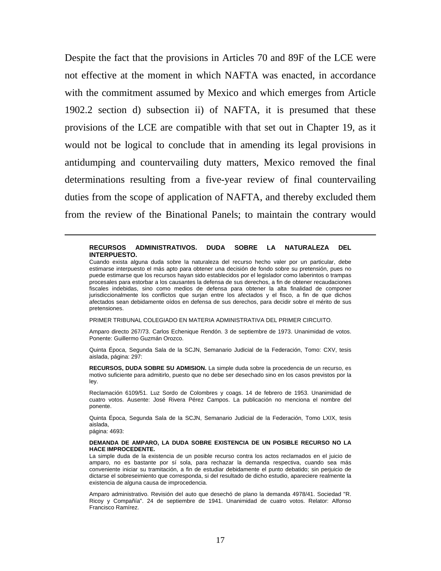Despite the fact that the provisions in Articles 70 and 89F of the LCE were not effective at the moment in which NAFTA was enacted, in accordance with the commitment assumed by Mexico and which emerges from Article 1902.2 section d) subsection ii) of NAFTA, it is presumed that these provisions of the LCE are compatible with that set out in Chapter 19, as it would not be logical to conclude that in amending its legal provisions in antidumping and countervailing duty matters, Mexico removed the final determinations resulting from a five-year review of final countervailing duties from the scope of application of NAFTA, and thereby excluded them from the review of the Binational Panels; to maintain the contrary would

#### **RECURSOS ADMINISTRATIVOS. DUDA SOBRE LA NATURALEZA DEL INTERPUESTO.**

Cuando exista alguna duda sobre la naturaleza del recurso hecho valer por un particular, debe estimarse interpuesto el más apto para obtener una decisión de fondo sobre su pretensión, pues no puede estimarse que los recursos hayan sido establecidos por el legislador como laberintos o trampas procesales para estorbar a los causantes la defensa de sus derechos, a fin de obtener recaudaciones fiscales indebidas, sino como medios de defensa para obtener la alta finalidad de componer jurisdiccionalmente los conflictos que surjan entre los afectados y el fisco, a fin de que dichos afectados sean debidamente oídos en defensa de sus derechos, para decidir sobre el mérito de sus pretensiones.

PRIMER TRIBUNAL COLEGIADO EN MATERIA ADMINISTRATIVA DEL PRIMER CIRCUITO.

Amparo directo 267/73. Carlos Echenique Rendón. 3 de septiembre de 1973. Unanimidad de votos. Ponente: Guillermo Guzmán Orozco.

Quinta Época, Segunda Sala de la SCJN, Semanario Judicial de la Federación, Tomo: CXV, tesis aislada, página: 297:

**RECURSOS, DUDA SOBRE SU ADMISION.** La simple duda sobre la procedencia de un recurso, es motivo suficiente para admitirlo, puesto que no debe ser desechado sino en los casos previstos por la ley.

Reclamación 6109/51. Luz Sordo de Colombres y coags. 14 de febrero de 1953. Unanimidad de cuatro votos. Ausente: José Rivera Pérez Campos. La publicación no menciona el nombre del ponente.

Quinta Época, Segunda Sala de la SCJN, Semanario Judicial de la Federación, Tomo LXIX, tesis aislada,

página: 4693:

 $\overline{a}$ 

#### **DEMANDA DE AMPARO, LA DUDA SOBRE EXISTENCIA DE UN POSIBLE RECURSO NO LA HACE IMPROCEDENTE.**

La simple duda de la existencia de un posible recurso contra los actos reclamados en el juicio de amparo, no es bastante por sí sola, para rechazar la demanda respectiva, cuando sea más conveniente iniciar su tramitación, a fin de estudiar debidamente el punto debatido; sin perjuicio de dictarse el sobreseimiento que corresponda, si del resultado de dicho estudio, apareciere realmente la existencia de alguna causa de improcedencia.

Amparo administrativo. Revisión del auto que desechó de plano la demanda 4978/41. Sociedad "R. Ricoy y Compañía". 24 de septiembre de 1941. Unanimidad de cuatro votos. Relator: Alfonso Francisco Ramírez.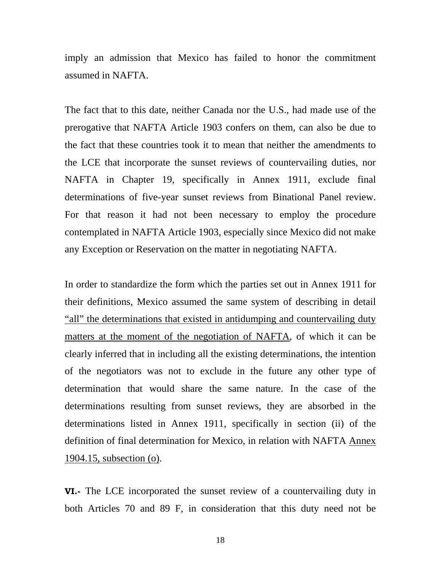imply an admission that Mexico has failed to honor the commitment assumed in NAFTA.

The fact that to this date, neither Canada nor the U.S., had made use of the prerogative that NAFTA Article 1903 confers on them, can also be due to the fact that these countries took it to mean that neither the amendments to the LCE that incorporate the sunset reviews of countervailing duties, nor NAFTA in Chapter 19, specifically in Annex 1911, exclude final determinations of five-year sunset reviews from Binational Panel review. For that reason it had not been necessary to employ the procedure contemplated in NAFTA Article 1903, especially since Mexico did not make any Exception or Reservation on the matter in negotiating NAFTA.

In order to standardize the form which the parties set out in Annex 1911 for their definitions, Mexico assumed the same system of describing in detail "all" the determinations that existed in antidumping and countervailing duty matters at the moment of the negotiation of NAFTA, of which it can be clearly inferred that in including all the existing determinations, the intention of the negotiators was not to exclude in the future any other type of determination that would share the same nature. In the case of the determinations resulting from sunset reviews, they are absorbed in the determinations listed in Annex 1911, specifically in section (ii) of the definition of final determination for Mexico, in relation with NAFTA Annex 1904.15, subsection (o).

**VI.-** The LCE incorporated the sunset review of a countervailing duty in both Articles 70 and 89 F, in consideration that this duty need not be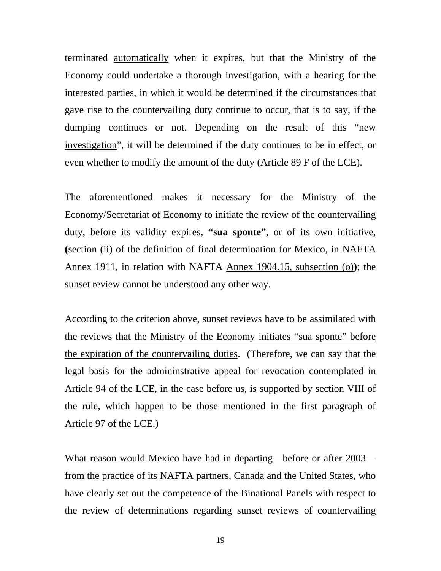terminated automatically when it expires, but that the Ministry of the Economy could undertake a thorough investigation, with a hearing for the interested parties, in which it would be determined if the circumstances that gave rise to the countervailing duty continue to occur, that is to say, if the dumping continues or not. Depending on the result of this "new investigation", it will be determined if the duty continues to be in effect, or even whether to modify the amount of the duty (Article 89 F of the LCE).

The aforementioned makes it necessary for the Ministry of the Economy/Secretariat of Economy to initiate the review of the countervailing duty, before its validity expires, **"sua sponte"**, or of its own initiative, **(**section (ii) of the definition of final determination for Mexico, in NAFTA Annex 1911, in relation with NAFTA Annex 1904.15, subsection (o)**)**; the sunset review cannot be understood any other way.

According to the criterion above, sunset reviews have to be assimilated with the reviews that the Ministry of the Economy initiates "sua sponte" before the expiration of the countervailing duties. (Therefore, we can say that the legal basis for the admininstrative appeal for revocation contemplated in Article 94 of the LCE, in the case before us, is supported by section VIII of the rule, which happen to be those mentioned in the first paragraph of Article 97 of the LCE.)

What reason would Mexico have had in departing—before or after 2003 from the practice of its NAFTA partners, Canada and the United States, who have clearly set out the competence of the Binational Panels with respect to the review of determinations regarding sunset reviews of countervailing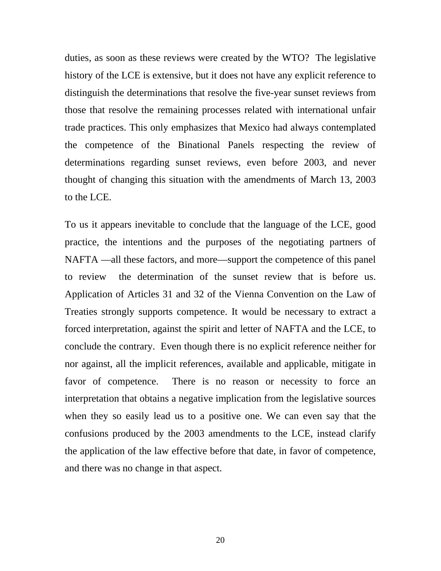duties, as soon as these reviews were created by the WTO? The legislative history of the LCE is extensive, but it does not have any explicit reference to distinguish the determinations that resolve the five-year sunset reviews from those that resolve the remaining processes related with international unfair trade practices. This only emphasizes that Mexico had always contemplated the competence of the Binational Panels respecting the review of determinations regarding sunset reviews, even before 2003, and never thought of changing this situation with the amendments of March 13, 2003 to the LCE.

To us it appears inevitable to conclude that the language of the LCE, good practice, the intentions and the purposes of the negotiating partners of NAFTA —all these factors, and more—support the competence of this panel to review the determination of the sunset review that is before us. Application of Articles 31 and 32 of the Vienna Convention on the Law of Treaties strongly supports competence. It would be necessary to extract a forced interpretation, against the spirit and letter of NAFTA and the LCE, to conclude the contrary. Even though there is no explicit reference neither for nor against, all the implicit references, available and applicable, mitigate in favor of competence. There is no reason or necessity to force an interpretation that obtains a negative implication from the legislative sources when they so easily lead us to a positive one. We can even say that the confusions produced by the 2003 amendments to the LCE, instead clarify the application of the law effective before that date, in favor of competence, and there was no change in that aspect.